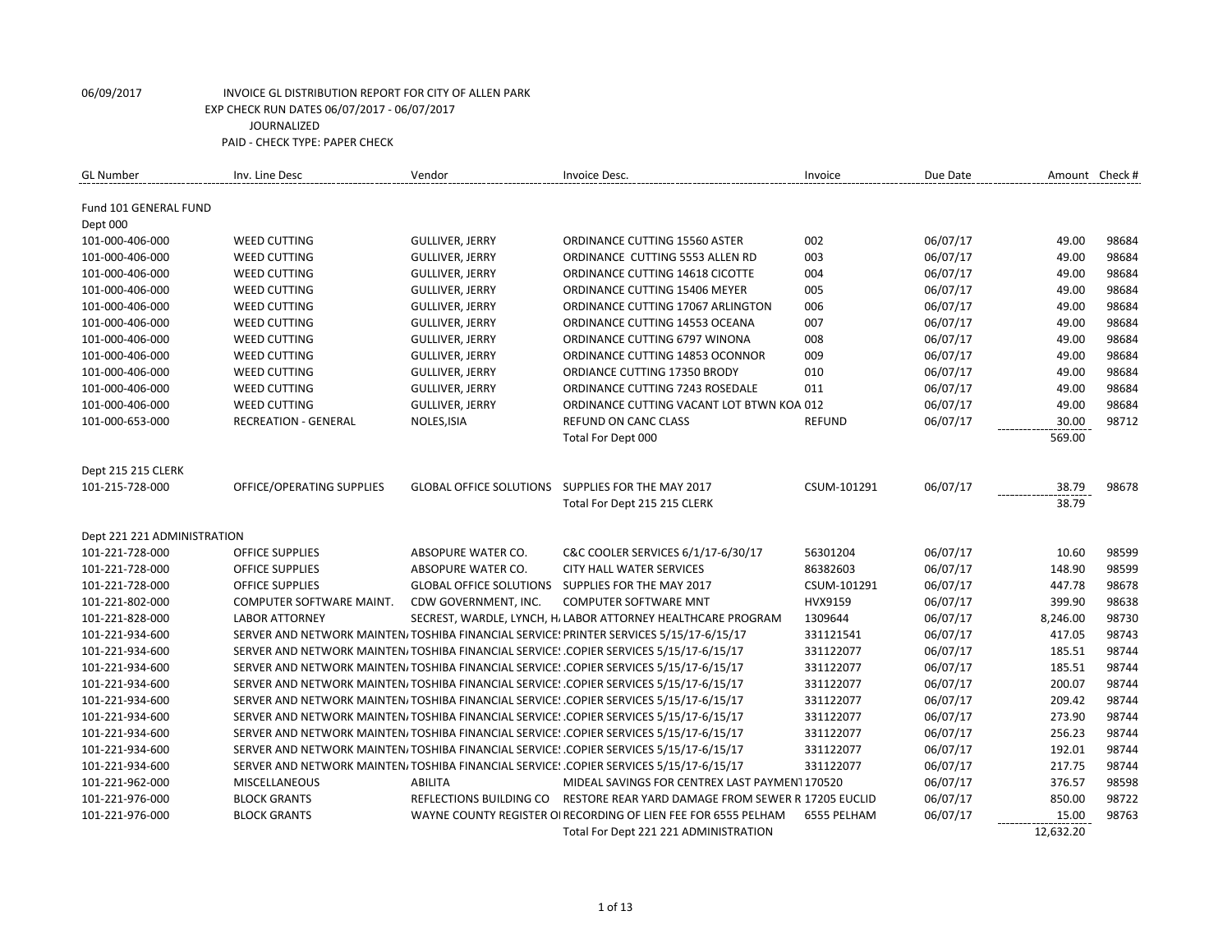| <b>GL Number</b>            | Inv. Line Desc              | Vendor                         | Invoice Desc.                                                                            | Invoice       | Due Date | Amount Check # |       |
|-----------------------------|-----------------------------|--------------------------------|------------------------------------------------------------------------------------------|---------------|----------|----------------|-------|
| Fund 101 GENERAL FUND       |                             |                                |                                                                                          |               |          |                |       |
| Dept 000                    |                             |                                |                                                                                          |               |          |                |       |
| 101-000-406-000             | <b>WEED CUTTING</b>         | <b>GULLIVER, JERRY</b>         | ORDINANCE CUTTING 15560 ASTER                                                            | 002           | 06/07/17 | 49.00          | 98684 |
| 101-000-406-000             | <b>WEED CUTTING</b>         | <b>GULLIVER, JERRY</b>         | ORDINANCE CUTTING 5553 ALLEN RD                                                          | 003           | 06/07/17 | 49.00          | 98684 |
| 101-000-406-000             | <b>WEED CUTTING</b>         | <b>GULLIVER, JERRY</b>         | ORDINANCE CUTTING 14618 CICOTTE                                                          | 004           | 06/07/17 | 49.00          | 98684 |
| 101-000-406-000             | <b>WEED CUTTING</b>         | <b>GULLIVER, JERRY</b>         | ORDINANCE CUTTING 15406 MEYER                                                            | 005           | 06/07/17 | 49.00          | 98684 |
| 101-000-406-000             | <b>WEED CUTTING</b>         | <b>GULLIVER, JERRY</b>         | ORDINANCE CUTTING 17067 ARLINGTON                                                        | 006           | 06/07/17 | 49.00          | 98684 |
| 101-000-406-000             | <b>WEED CUTTING</b>         | <b>GULLIVER, JERRY</b>         | ORDINANCE CUTTING 14553 OCEANA                                                           | 007           | 06/07/17 | 49.00          | 98684 |
| 101-000-406-000             | <b>WEED CUTTING</b>         | <b>GULLIVER, JERRY</b>         | ORDINANCE CUTTING 6797 WINONA                                                            | 008           | 06/07/17 | 49.00          | 98684 |
| 101-000-406-000             | <b>WEED CUTTING</b>         | <b>GULLIVER, JERRY</b>         | ORDINANCE CUTTING 14853 OCONNOR                                                          | 009           | 06/07/17 | 49.00          | 98684 |
| 101-000-406-000             | <b>WEED CUTTING</b>         | <b>GULLIVER, JERRY</b>         | ORDIANCE CUTTING 17350 BRODY                                                             | 010           | 06/07/17 | 49.00          | 98684 |
| 101-000-406-000             | <b>WEED CUTTING</b>         | <b>GULLIVER, JERRY</b>         | ORDINANCE CUTTING 7243 ROSEDALE                                                          | 011           | 06/07/17 | 49.00          | 98684 |
| 101-000-406-000             | WEED CUTTING                | <b>GULLIVER, JERRY</b>         | ORDINANCE CUTTING VACANT LOT BTWN KOA 012                                                |               | 06/07/17 | 49.00          | 98684 |
| 101-000-653-000             | <b>RECREATION - GENERAL</b> | NOLES, ISIA                    | REFUND ON CANC CLASS                                                                     | <b>REFUND</b> | 06/07/17 | 30.00          | 98712 |
|                             |                             |                                | Total For Dept 000                                                                       |               |          | 569.00         |       |
|                             |                             |                                |                                                                                          |               |          |                |       |
| Dept 215 215 CLERK          |                             |                                |                                                                                          |               |          |                |       |
| 101-215-728-000             | OFFICE/OPERATING SUPPLIES   |                                | GLOBAL OFFICE SOLUTIONS SUPPLIES FOR THE MAY 2017                                        | CSUM-101291   | 06/07/17 | 38.79          | 98678 |
|                             |                             |                                | Total For Dept 215 215 CLERK                                                             |               |          | 38.79          |       |
|                             |                             |                                |                                                                                          |               |          |                |       |
| Dept 221 221 ADMINISTRATION |                             |                                |                                                                                          |               |          |                |       |
| 101-221-728-000             | <b>OFFICE SUPPLIES</b>      | ABSOPURE WATER CO.             | C&C COOLER SERVICES 6/1/17-6/30/17                                                       | 56301204      | 06/07/17 | 10.60          | 98599 |
| 101-221-728-000             | <b>OFFICE SUPPLIES</b>      | ABSOPURE WATER CO.             | <b>CITY HALL WATER SERVICES</b>                                                          | 86382603      | 06/07/17 | 148.90         | 98599 |
| 101-221-728-000             | <b>OFFICE SUPPLIES</b>      | <b>GLOBAL OFFICE SOLUTIONS</b> | SUPPLIES FOR THE MAY 2017                                                                | CSUM-101291   | 06/07/17 | 447.78         | 98678 |
| 101-221-802-000             | COMPUTER SOFTWARE MAINT.    | CDW GOVERNMENT, INC.           | COMPUTER SOFTWARE MNT                                                                    | HVX9159       | 06/07/17 | 399.90         | 98638 |
| 101-221-828-000             | <b>LABOR ATTORNEY</b>       |                                | SECREST, WARDLE, LYNCH, H. LABOR ATTORNEY HEALTHCARE PROGRAM                             | 1309644       | 06/07/17 | 8,246.00       | 98730 |
| 101-221-934-600             |                             |                                | SERVER AND NETWORK MAINTEN/ TOSHIBA FINANCIAL SERVICE! PRINTER SERVICES 5/15/17-6/15/17  | 331121541     | 06/07/17 | 417.05         | 98743 |
| 101-221-934-600             |                             |                                | SERVER AND NETWORK MAINTEN/TOSHIBA FINANCIAL SERVICE: .COPIER SERVICES 5/15/17-6/15/17   | 331122077     | 06/07/17 | 185.51         | 98744 |
| 101-221-934-600             |                             |                                | SERVER AND NETWORK MAINTEN/TOSHIBA FINANCIAL SERVICE: .COPIER SERVICES 5/15/17-6/15/17   | 331122077     | 06/07/17 | 185.51         | 98744 |
| 101-221-934-600             |                             |                                | SERVER AND NETWORK MAINTEN/TOSHIBA FINANCIAL SERVICE: .COPIER SERVICES 5/15/17-6/15/17   | 331122077     | 06/07/17 | 200.07         | 98744 |
| 101-221-934-600             |                             |                                | SERVER AND NETWORK MAINTEN/ TOSHIBA FINANCIAL SERVICE! . COPIER SERVICES 5/15/17-6/15/17 | 331122077     | 06/07/17 | 209.42         | 98744 |
| 101-221-934-600             |                             |                                | SERVER AND NETWORK MAINTEN/TOSHIBA FINANCIAL SERVICE: .COPIER SERVICES 5/15/17-6/15/17   | 331122077     | 06/07/17 | 273.90         | 98744 |
| 101-221-934-600             |                             |                                | SERVER AND NETWORK MAINTEN/TOSHIBA FINANCIAL SERVICE: . COPIER SERVICES 5/15/17-6/15/17  | 331122077     | 06/07/17 | 256.23         | 98744 |
| 101-221-934-600             |                             |                                | SERVER AND NETWORK MAINTEN/ TOSHIBA FINANCIAL SERVICE! . COPIER SERVICES 5/15/17-6/15/17 | 331122077     | 06/07/17 | 192.01         | 98744 |
| 101-221-934-600             |                             |                                | SERVER AND NETWORK MAINTEN/TOSHIBA FINANCIAL SERVICE! . COPIER SERVICES 5/15/17-6/15/17  | 331122077     | 06/07/17 | 217.75         | 98744 |
| 101-221-962-000             | <b>MISCELLANEOUS</b>        | <b>ABILITA</b>                 | MIDEAL SAVINGS FOR CENTREX LAST PAYMEN1 170520                                           |               | 06/07/17 | 376.57         | 98598 |
| 101-221-976-000             | <b>BLOCK GRANTS</b>         | REFLECTIONS BUILDING CO        | RESTORE REAR YARD DAMAGE FROM SEWER R 17205 EUCLID                                       |               | 06/07/17 | 850.00         | 98722 |
| 101-221-976-000             | <b>BLOCK GRANTS</b>         |                                | WAYNE COUNTY REGISTER OI RECORDING OF LIEN FEE FOR 6555 PELHAM                           | 6555 PELHAM   | 06/07/17 | 15.00          | 98763 |
|                             |                             |                                | Total For Dept 221 221 ADMINISTRATION                                                    |               |          | 12,632.20      |       |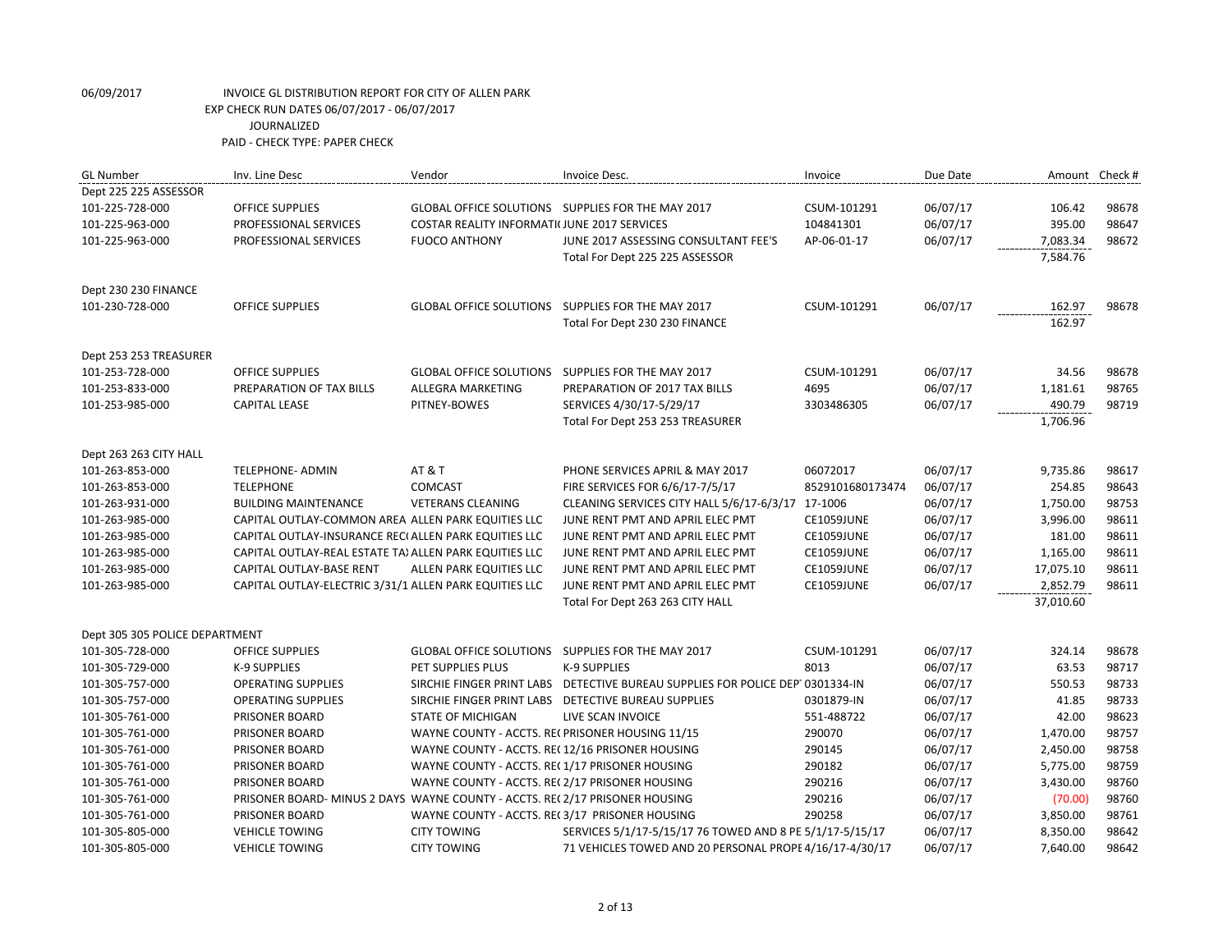| <b>GL Number</b>               | Inv. Line Desc                                                               | Vendor                                          | Invoice Desc.                                                                  | Invoice           | Due Date |           | Amount Check # |
|--------------------------------|------------------------------------------------------------------------------|-------------------------------------------------|--------------------------------------------------------------------------------|-------------------|----------|-----------|----------------|
| Dept 225 225 ASSESSOR          |                                                                              |                                                 |                                                                                |                   |          |           |                |
| 101-225-728-000                | <b>OFFICE SUPPLIES</b>                                                       |                                                 | GLOBAL OFFICE SOLUTIONS SUPPLIES FOR THE MAY 2017                              | CSUM-101291       | 06/07/17 | 106.42    | 98678          |
| 101-225-963-000                | PROFESSIONAL SERVICES                                                        | COSTAR REALITY INFORMATI( JUNE 2017 SERVICES    |                                                                                | 104841301         | 06/07/17 | 395.00    | 98647          |
| 101-225-963-000                | PROFESSIONAL SERVICES                                                        | <b>FUOCO ANTHONY</b>                            | JUNE 2017 ASSESSING CONSULTANT FEE'S                                           | AP-06-01-17       | 06/07/17 | 7,083.34  | 98672          |
|                                |                                                                              |                                                 | Total For Dept 225 225 ASSESSOR                                                |                   |          | 7,584.76  |                |
| Dept 230 230 FINANCE           |                                                                              |                                                 |                                                                                |                   |          |           |                |
| 101-230-728-000                | <b>OFFICE SUPPLIES</b>                                                       |                                                 | GLOBAL OFFICE SOLUTIONS SUPPLIES FOR THE MAY 2017                              | CSUM-101291       | 06/07/17 | 162.97    | 98678          |
|                                |                                                                              |                                                 | Total For Dept 230 230 FINANCE                                                 |                   |          | 162.97    |                |
| Dept 253 253 TREASURER         |                                                                              |                                                 |                                                                                |                   |          |           |                |
| 101-253-728-000                | <b>OFFICE SUPPLIES</b>                                                       | <b>GLOBAL OFFICE SOLUTIONS</b>                  | SUPPLIES FOR THE MAY 2017                                                      | CSUM-101291       | 06/07/17 | 34.56     | 98678          |
| 101-253-833-000                | PREPARATION OF TAX BILLS                                                     | ALLEGRA MARKETING                               | PREPARATION OF 2017 TAX BILLS                                                  | 4695              | 06/07/17 | 1,181.61  | 98765          |
| 101-253-985-000                | <b>CAPITAL LEASE</b>                                                         | PITNEY-BOWES                                    | SERVICES 4/30/17-5/29/17                                                       | 3303486305        | 06/07/17 | 490.79    | 98719          |
|                                |                                                                              |                                                 | Total For Dept 253 253 TREASURER                                               |                   |          | 1,706.96  |                |
| Dept 263 263 CITY HALL         |                                                                              |                                                 |                                                                                |                   |          |           |                |
| 101-263-853-000                | <b>TELEPHONE- ADMIN</b>                                                      | <b>AT &amp; T</b>                               | PHONE SERVICES APRIL & MAY 2017                                                | 06072017          | 06/07/17 | 9,735.86  | 98617          |
| 101-263-853-000                | <b>TELEPHONE</b>                                                             | <b>COMCAST</b>                                  | FIRE SERVICES FOR 6/6/17-7/5/17                                                | 8529101680173474  | 06/07/17 | 254.85    | 98643          |
| 101-263-931-000                | <b>BUILDING MAINTENANCE</b>                                                  | <b>VETERANS CLEANING</b>                        | CLEANING SERVICES CITY HALL 5/6/17-6/3/17 17-1006                              |                   | 06/07/17 | 1,750.00  | 98753          |
| 101-263-985-000                | CAPITAL OUTLAY-COMMON AREA ALLEN PARK EQUITIES LLC                           |                                                 | JUNE RENT PMT AND APRIL ELEC PMT                                               | CE1059JUNE        | 06/07/17 | 3,996.00  | 98611          |
| 101-263-985-000                | CAPITAL OUTLAY-INSURANCE RECI ALLEN PARK EQUITIES LLC                        |                                                 | JUNE RENT PMT AND APRIL ELEC PMT                                               | <b>CE1059JUNE</b> | 06/07/17 | 181.00    | 98611          |
| 101-263-985-000                | CAPITAL OUTLAY-REAL ESTATE TA) ALLEN PARK EQUITIES LLC                       |                                                 | JUNE RENT PMT AND APRIL ELEC PMT                                               | <b>CE1059JUNE</b> | 06/07/17 | 1,165.00  | 98611          |
| 101-263-985-000                | CAPITAL OUTLAY-BASE RENT                                                     | ALLEN PARK EQUITIES LLC                         | JUNE RENT PMT AND APRIL ELEC PMT                                               | <b>CE1059JUNE</b> | 06/07/17 | 17,075.10 | 98611          |
| 101-263-985-000                | CAPITAL OUTLAY-ELECTRIC 3/31/1 ALLEN PARK EQUITIES LLC                       |                                                 | JUNE RENT PMT AND APRIL ELEC PMT                                               | CE1059JUNE        | 06/07/17 | 2,852.79  | 98611          |
|                                |                                                                              |                                                 | Total For Dept 263 263 CITY HALL                                               |                   |          | 37,010.60 |                |
| Dept 305 305 POLICE DEPARTMENT |                                                                              |                                                 |                                                                                |                   |          |           |                |
| 101-305-728-000                | <b>OFFICE SUPPLIES</b>                                                       |                                                 | GLOBAL OFFICE SOLUTIONS SUPPLIES FOR THE MAY 2017                              | CSUM-101291       | 06/07/17 | 324.14    | 98678          |
| 101-305-729-000                | K-9 SUPPLIES                                                                 | PET SUPPLIES PLUS                               | <b>K-9 SUPPLIES</b>                                                            | 8013              | 06/07/17 | 63.53     | 98717          |
| 101-305-757-000                | <b>OPERATING SUPPLIES</b>                                                    |                                                 | SIRCHIE FINGER PRINT LABS DETECTIVE BUREAU SUPPLIES FOR POLICE DEP' 0301334-IN |                   | 06/07/17 | 550.53    | 98733          |
| 101-305-757-000                | <b>OPERATING SUPPLIES</b>                                                    |                                                 | SIRCHIE FINGER PRINT LABS DETECTIVE BUREAU SUPPLIES                            | 0301879-IN        | 06/07/17 | 41.85     | 98733          |
| 101-305-761-000                | PRISONER BOARD                                                               | STATE OF MICHIGAN                               | LIVE SCAN INVOICE                                                              | 551-488722        | 06/07/17 | 42.00     | 98623          |
| 101-305-761-000                | PRISONER BOARD                                                               | WAYNE COUNTY - ACCTS. RECPRISONER HOUSING 11/15 |                                                                                | 290070            | 06/07/17 | 1,470.00  | 98757          |
| 101-305-761-000                | PRISONER BOARD                                                               | WAYNE COUNTY - ACCTS. RE(12/16 PRISONER HOUSING |                                                                                | 290145            | 06/07/17 | 2,450.00  | 98758          |
| 101-305-761-000                | PRISONER BOARD                                                               | WAYNE COUNTY - ACCTS. REC1/17 PRISONER HOUSING  |                                                                                | 290182            | 06/07/17 | 5,775.00  | 98759          |
| 101-305-761-000                | PRISONER BOARD                                                               | WAYNE COUNTY - ACCTS. RE(2/17 PRISONER HOUSING  |                                                                                | 290216            | 06/07/17 | 3,430.00  | 98760          |
| 101-305-761-000                | PRISONER BOARD- MINUS 2 DAYS WAYNE COUNTY - ACCTS. RE( 2/17 PRISONER HOUSING |                                                 |                                                                                | 290216            | 06/07/17 | (70.00)   | 98760          |
| 101-305-761-000                | PRISONER BOARD                                                               | WAYNE COUNTY - ACCTS. REC3/17 PRISONER HOUSING  |                                                                                | 290258            | 06/07/17 | 3,850.00  | 98761          |
| 101-305-805-000                | <b>VEHICLE TOWING</b>                                                        | <b>CITY TOWING</b>                              | SERVICES 5/1/17-5/15/17 76 TOWED AND 8 PE 5/1/17-5/15/17                       |                   | 06/07/17 | 8,350.00  | 98642          |
| 101-305-805-000                | <b>VEHICLE TOWING</b>                                                        | <b>CITY TOWING</b>                              | 71 VEHICLES TOWED AND 20 PERSONAL PROPE 4/16/17-4/30/17                        |                   | 06/07/17 | 7,640.00  | 98642          |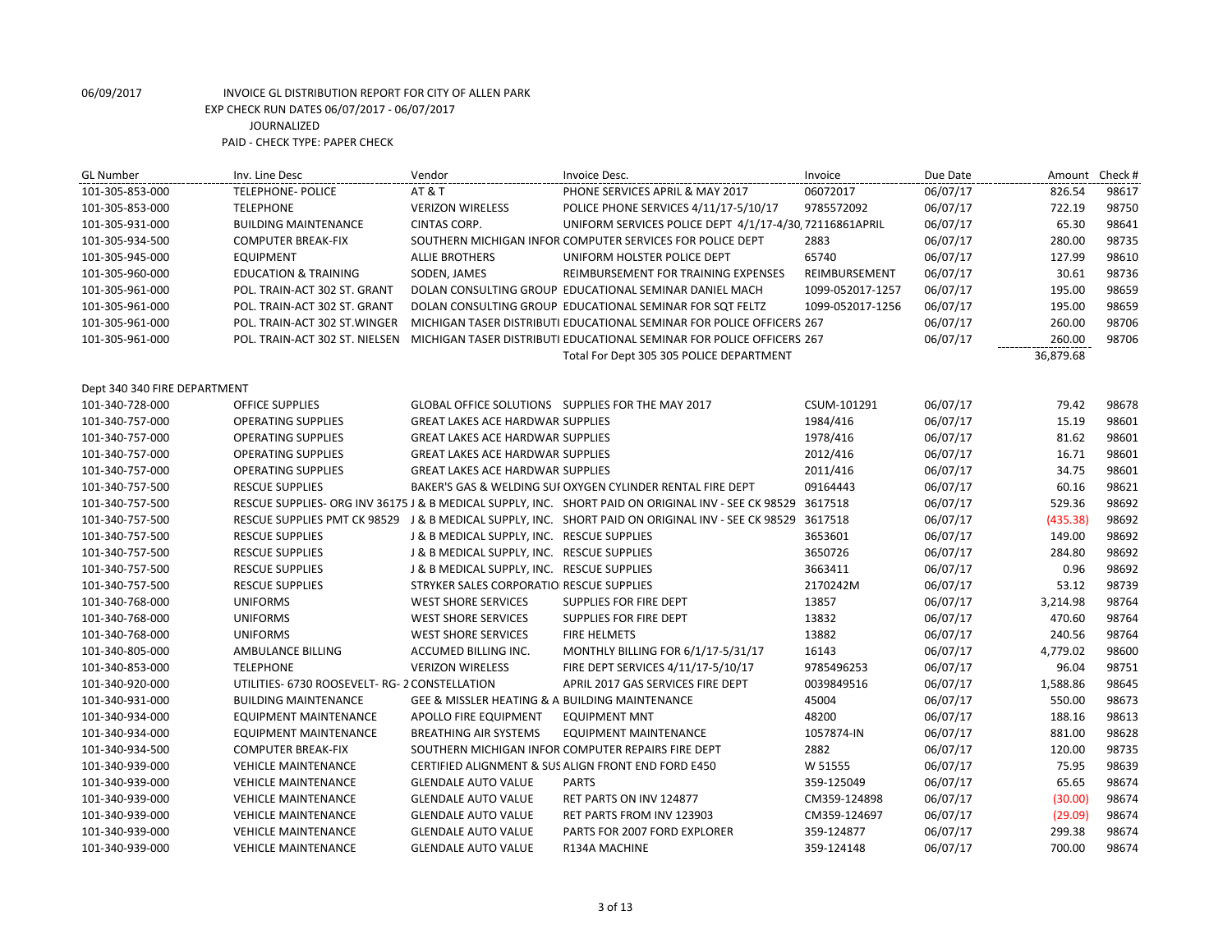| <b>GL Number</b>             | Inv. Line Desc                                 | Vendor                                         | Invoice Desc.                                                                                               | Invoice          | Due Date | Amount Check # |       |
|------------------------------|------------------------------------------------|------------------------------------------------|-------------------------------------------------------------------------------------------------------------|------------------|----------|----------------|-------|
| 101-305-853-000              | <b>TELEPHONE- POLICE</b>                       | <b>AT &amp; T</b>                              | PHONE SERVICES APRIL & MAY 2017                                                                             | 06072017         | 06/07/17 | 826.54         | 98617 |
| 101-305-853-000              | <b>TELEPHONE</b>                               | <b>VERIZON WIRELESS</b>                        | POLICE PHONE SERVICES 4/11/17-5/10/17                                                                       | 9785572092       | 06/07/17 | 722.19         | 98750 |
| 101-305-931-000              | <b>BUILDING MAINTENANCE</b>                    | CINTAS CORP.                                   | UNIFORM SERVICES POLICE DEPT 4/1/17-4/30 72116861APRIL                                                      |                  | 06/07/17 | 65.30          | 98641 |
| 101-305-934-500              | <b>COMPUTER BREAK-FIX</b>                      |                                                | SOUTHERN MICHIGAN INFOR COMPUTER SERVICES FOR POLICE DEPT                                                   | 2883             | 06/07/17 | 280.00         | 98735 |
| 101-305-945-000              | <b>EQUIPMENT</b>                               | <b>ALLIE BROTHERS</b>                          | UNIFORM HOLSTER POLICE DEPT                                                                                 | 65740            | 06/07/17 | 127.99         | 98610 |
| 101-305-960-000              | <b>EDUCATION &amp; TRAINING</b>                | SODEN, JAMES                                   | REIMBURSEMENT FOR TRAINING EXPENSES                                                                         | REIMBURSEMENT    | 06/07/17 | 30.61          | 98736 |
| 101-305-961-000              | POL. TRAIN-ACT 302 ST. GRANT                   |                                                | DOLAN CONSULTING GROUP EDUCATIONAL SEMINAR DANIEL MACH                                                      | 1099-052017-1257 | 06/07/17 | 195.00         | 98659 |
| 101-305-961-000              | POL. TRAIN-ACT 302 ST. GRANT                   |                                                | DOLAN CONSULTING GROUP EDUCATIONAL SEMINAR FOR SQT FELTZ                                                    | 1099-052017-1256 | 06/07/17 | 195.00         | 98659 |
| 101-305-961-000              | POL. TRAIN-ACT 302 ST. WINGER                  |                                                | MICHIGAN TASER DISTRIBUTI EDUCATIONAL SEMINAR FOR POLICE OFFICERS 267                                       |                  | 06/07/17 | 260.00         | 98706 |
| 101-305-961-000              | POL. TRAIN-ACT 302 ST. NIELSEN                 |                                                | MICHIGAN TASER DISTRIBUTI EDUCATIONAL SEMINAR FOR POLICE OFFICERS 267                                       |                  | 06/07/17 | 260.00         | 98706 |
|                              |                                                |                                                | Total For Dept 305 305 POLICE DEPARTMENT                                                                    |                  |          | 36,879.68      |       |
|                              |                                                |                                                |                                                                                                             |                  |          |                |       |
| Dept 340 340 FIRE DEPARTMENT |                                                |                                                |                                                                                                             |                  |          |                |       |
| 101-340-728-000              | <b>OFFICE SUPPLIES</b>                         |                                                | GLOBAL OFFICE SOLUTIONS SUPPLIES FOR THE MAY 2017                                                           | CSUM-101291      | 06/07/17 | 79.42          | 98678 |
| 101-340-757-000              | <b>OPERATING SUPPLIES</b>                      | <b>GREAT LAKES ACE HARDWAR SUPPLIES</b>        |                                                                                                             | 1984/416         | 06/07/17 | 15.19          | 98601 |
| 101-340-757-000              | <b>OPERATING SUPPLIES</b>                      | <b>GREAT LAKES ACE HARDWAR SUPPLIES</b>        |                                                                                                             | 1978/416         | 06/07/17 | 81.62          | 98601 |
| 101-340-757-000              | <b>OPERATING SUPPLIES</b>                      | <b>GREAT LAKES ACE HARDWAR SUPPLIES</b>        |                                                                                                             | 2012/416         | 06/07/17 | 16.71          | 98601 |
| 101-340-757-000              | <b>OPERATING SUPPLIES</b>                      | <b>GREAT LAKES ACE HARDWAR SUPPLIES</b>        |                                                                                                             | 2011/416         | 06/07/17 | 34.75          | 98601 |
| 101-340-757-500              | <b>RESCUE SUPPLIES</b>                         |                                                | BAKER'S GAS & WELDING SUI OXYGEN CYLINDER RENTAL FIRE DEPT                                                  | 09164443         | 06/07/17 | 60.16          | 98621 |
| 101-340-757-500              |                                                |                                                | RESCUE SUPPLIES- ORG INV 36175 J & B MEDICAL SUPPLY, INC. SHORT PAID ON ORIGINAL INV - SEE CK 98529 3617518 |                  | 06/07/17 | 529.36         | 98692 |
| 101-340-757-500              |                                                |                                                | RESCUE SUPPLIES PMT CK 98529 J & B MEDICAL SUPPLY, INC. SHORT PAID ON ORIGINAL INV - SEE CK 98529 3617518   |                  | 06/07/17 | (435.38)       | 98692 |
| 101-340-757-500              | <b>RESCUE SUPPLIES</b>                         | J & B MEDICAL SUPPLY, INC. RESCUE SUPPLIES     |                                                                                                             | 3653601          | 06/07/17 | 149.00         | 98692 |
| 101-340-757-500              | <b>RESCUE SUPPLIES</b>                         | J & B MEDICAL SUPPLY, INC. RESCUE SUPPLIES     |                                                                                                             | 3650726          | 06/07/17 | 284.80         | 98692 |
| 101-340-757-500              | <b>RESCUE SUPPLIES</b>                         | J & B MEDICAL SUPPLY, INC. RESCUE SUPPLIES     |                                                                                                             | 3663411          | 06/07/17 | 0.96           | 98692 |
| 101-340-757-500              | <b>RESCUE SUPPLIES</b>                         | STRYKER SALES CORPORATIO RESCUE SUPPLIES       |                                                                                                             | 2170242M         | 06/07/17 | 53.12          | 98739 |
| 101-340-768-000              | <b>UNIFORMS</b>                                | <b>WEST SHORE SERVICES</b>                     | <b>SUPPLIES FOR FIRE DEPT</b>                                                                               | 13857            | 06/07/17 | 3,214.98       | 98764 |
| 101-340-768-000              | <b>UNIFORMS</b>                                | <b>WEST SHORE SERVICES</b>                     | SUPPLIES FOR FIRE DEPT                                                                                      | 13832            | 06/07/17 | 470.60         | 98764 |
| 101-340-768-000              | <b>UNIFORMS</b>                                | <b>WEST SHORE SERVICES</b>                     | <b>FIRE HELMETS</b>                                                                                         | 13882            | 06/07/17 | 240.56         | 98764 |
| 101-340-805-000              | AMBULANCE BILLING                              | ACCUMED BILLING INC.                           | MONTHLY BILLING FOR 6/1/17-5/31/17                                                                          | 16143            | 06/07/17 | 4,779.02       | 98600 |
| 101-340-853-000              | <b>TELEPHONE</b>                               | <b>VERIZON WIRELESS</b>                        | FIRE DEPT SERVICES 4/11/17-5/10/17                                                                          | 9785496253       | 06/07/17 | 96.04          | 98751 |
| 101-340-920-000              | UTILITIES- 6730 ROOSEVELT- RG- 2 CONSTELLATION |                                                | APRIL 2017 GAS SERVICES FIRE DEPT                                                                           | 0039849516       | 06/07/17 | 1,588.86       | 98645 |
| 101-340-931-000              | <b>BUILDING MAINTENANCE</b>                    | GEE & MISSLER HEATING & A BUILDING MAINTENANCE |                                                                                                             | 45004            | 06/07/17 | 550.00         | 98673 |
| 101-340-934-000              | <b>EQUIPMENT MAINTENANCE</b>                   | APOLLO FIRE EQUIPMENT                          | <b>EQUIPMENT MNT</b>                                                                                        | 48200            | 06/07/17 | 188.16         | 98613 |
| 101-340-934-000              | <b>EQUIPMENT MAINTENANCE</b>                   | <b>BREATHING AIR SYSTEMS</b>                   | <b>EQUIPMENT MAINTENANCE</b>                                                                                | 1057874-IN       | 06/07/17 | 881.00         | 98628 |
| 101-340-934-500              | <b>COMPUTER BREAK-FIX</b>                      |                                                | SOUTHERN MICHIGAN INFOR COMPUTER REPAIRS FIRE DEPT                                                          | 2882             | 06/07/17 | 120.00         | 98735 |
| 101-340-939-000              | <b>VEHICLE MAINTENANCE</b>                     |                                                | CERTIFIED ALIGNMENT & SUS ALIGN FRONT END FORD E450                                                         | W 51555          | 06/07/17 | 75.95          | 98639 |
| 101-340-939-000              | <b>VEHICLE MAINTENANCE</b>                     | <b>GLENDALE AUTO VALUE</b>                     | <b>PARTS</b>                                                                                                | 359-125049       | 06/07/17 | 65.65          | 98674 |
| 101-340-939-000              | <b>VEHICLE MAINTENANCE</b>                     | <b>GLENDALE AUTO VALUE</b>                     | RET PARTS ON INV 124877                                                                                     | CM359-124898     | 06/07/17 | (30.00)        | 98674 |
| 101-340-939-000              | <b>VEHICLE MAINTENANCE</b>                     | <b>GLENDALE AUTO VALUE</b>                     | RET PARTS FROM INV 123903                                                                                   | CM359-124697     | 06/07/17 | (29.09)        | 98674 |
| 101-340-939-000              | <b>VEHICLE MAINTENANCE</b>                     | <b>GLENDALE AUTO VALUE</b>                     | PARTS FOR 2007 FORD EXPLORER                                                                                | 359-124877       | 06/07/17 | 299.38         | 98674 |
| 101-340-939-000              | <b>VEHICLE MAINTENANCE</b>                     | <b>GLENDALE AUTO VALUE</b>                     | R134A MACHINE                                                                                               | 359-124148       | 06/07/17 | 700.00         | 98674 |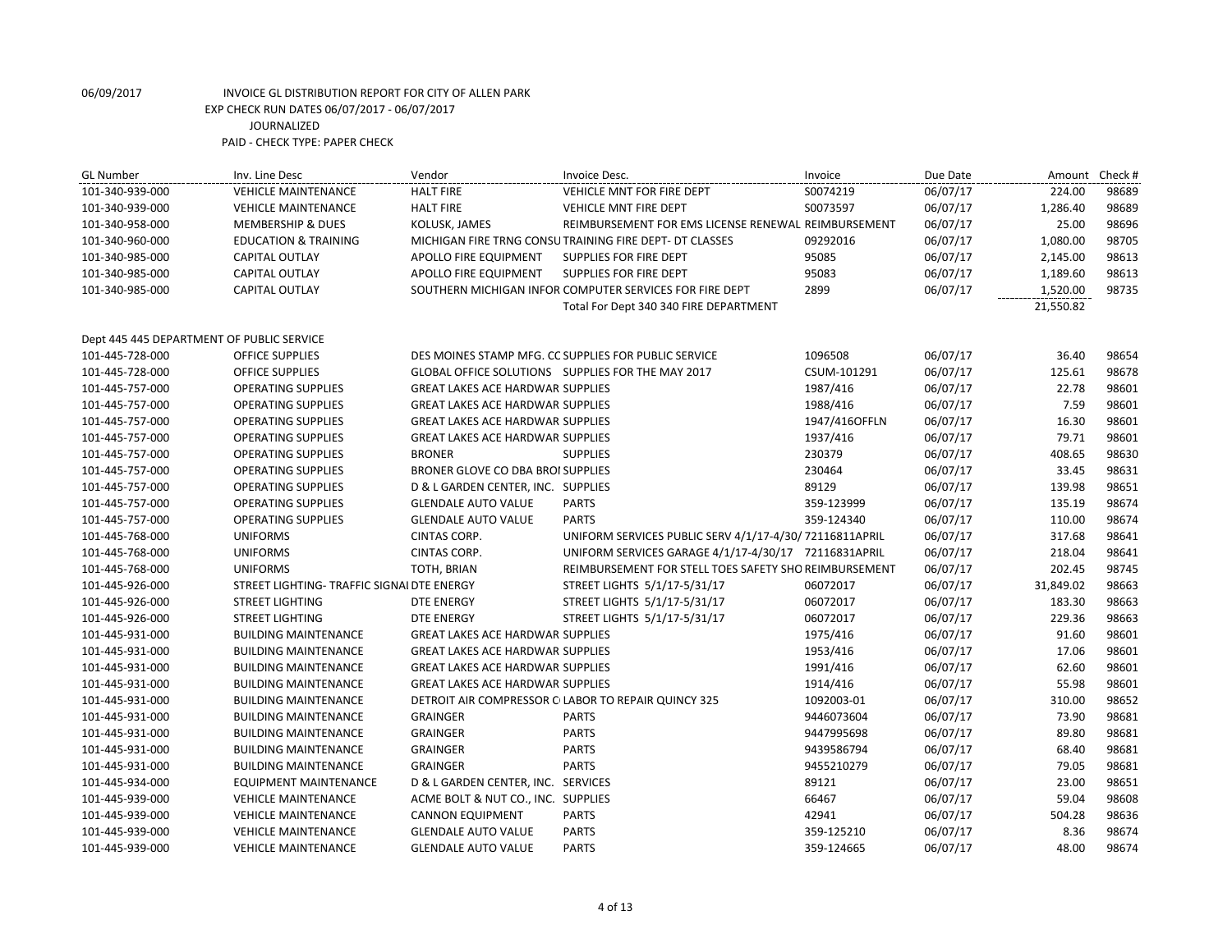| <b>GL Number</b>                          | Inv. Line Desc                             | Vendor                                  | Invoice Desc.                                           | Invoice       | Due Date | Amount    | Check # |
|-------------------------------------------|--------------------------------------------|-----------------------------------------|---------------------------------------------------------|---------------|----------|-----------|---------|
| 101-340-939-000                           | <b>VEHICLE MAINTENANCE</b>                 | <b>HALT FIRE</b>                        | VEHICLE MNT FOR FIRE DEPT                               | S0074219      | 06/07/17 | 224.00    | 98689   |
| 101-340-939-000                           | <b>VEHICLE MAINTENANCE</b>                 | <b>HALT FIRE</b>                        | <b>VEHICLE MNT FIRE DEPT</b>                            | S0073597      | 06/07/17 | 1,286.40  | 98689   |
| 101-340-958-000                           | <b>MEMBERSHIP &amp; DUES</b>               | KOLUSK, JAMES                           | REIMBURSEMENT FOR EMS LICENSE RENEWAL REIMBURSEMENT     |               | 06/07/17 | 25.00     | 98696   |
| 101-340-960-000                           | <b>EDUCATION &amp; TRAINING</b>            |                                         | MICHIGAN FIRE TRNG CONSU TRAINING FIRE DEPT- DT CLASSES | 09292016      | 06/07/17 | 1,080.00  | 98705   |
| 101-340-985-000                           | CAPITAL OUTLAY                             | APOLLO FIRE EQUIPMENT                   | SUPPLIES FOR FIRE DEPT                                  | 95085         | 06/07/17 | 2,145.00  | 98613   |
| 101-340-985-000                           | CAPITAL OUTLAY                             | APOLLO FIRE EQUIPMENT                   | SUPPLIES FOR FIRE DEPT                                  | 95083         | 06/07/17 | 1,189.60  | 98613   |
| 101-340-985-000                           | CAPITAL OUTLAY                             |                                         | SOUTHERN MICHIGAN INFOR COMPUTER SERVICES FOR FIRE DEPT | 2899          | 06/07/17 | 1,520.00  | 98735   |
|                                           |                                            |                                         | Total For Dept 340 340 FIRE DEPARTMENT                  |               |          | 21,550.82 |         |
|                                           |                                            |                                         |                                                         |               |          |           |         |
| Dept 445 445 DEPARTMENT OF PUBLIC SERVICE |                                            |                                         |                                                         |               |          |           |         |
| 101-445-728-000                           | OFFICE SUPPLIES                            |                                         | DES MOINES STAMP MFG. CC SUPPLIES FOR PUBLIC SERVICE    | 1096508       | 06/07/17 | 36.40     | 98654   |
| 101-445-728-000                           | <b>OFFICE SUPPLIES</b>                     |                                         | GLOBAL OFFICE SOLUTIONS SUPPLIES FOR THE MAY 2017       | CSUM-101291   | 06/07/17 | 125.61    | 98678   |
| 101-445-757-000                           | <b>OPERATING SUPPLIES</b>                  | <b>GREAT LAKES ACE HARDWAR SUPPLIES</b> |                                                         | 1987/416      | 06/07/17 | 22.78     | 98601   |
| 101-445-757-000                           | <b>OPERATING SUPPLIES</b>                  | <b>GREAT LAKES ACE HARDWAR SUPPLIES</b> |                                                         | 1988/416      | 06/07/17 | 7.59      | 98601   |
| 101-445-757-000                           | <b>OPERATING SUPPLIES</b>                  | <b>GREAT LAKES ACE HARDWAR SUPPLIES</b> |                                                         | 1947/416OFFLN | 06/07/17 | 16.30     | 98601   |
| 101-445-757-000                           | <b>OPERATING SUPPLIES</b>                  | <b>GREAT LAKES ACE HARDWAR SUPPLIES</b> |                                                         | 1937/416      | 06/07/17 | 79.71     | 98601   |
| 101-445-757-000                           | <b>OPERATING SUPPLIES</b>                  | <b>BRONER</b>                           | <b>SUPPLIES</b>                                         | 230379        | 06/07/17 | 408.65    | 98630   |
| 101-445-757-000                           | <b>OPERATING SUPPLIES</b>                  | BRONER GLOVE CO DBA BROI SUPPLIES       |                                                         | 230464        | 06/07/17 | 33.45     | 98631   |
| 101-445-757-000                           | <b>OPERATING SUPPLIES</b>                  | D & L GARDEN CENTER, INC. SUPPLIES      |                                                         | 89129         | 06/07/17 | 139.98    | 98651   |
| 101-445-757-000                           | <b>OPERATING SUPPLIES</b>                  | <b>GLENDALE AUTO VALUE</b>              | <b>PARTS</b>                                            | 359-123999    | 06/07/17 | 135.19    | 98674   |
| 101-445-757-000                           | <b>OPERATING SUPPLIES</b>                  | <b>GLENDALE AUTO VALUE</b>              | <b>PARTS</b>                                            | 359-124340    | 06/07/17 | 110.00    | 98674   |
| 101-445-768-000                           | <b>UNIFORMS</b>                            | <b>CINTAS CORP.</b>                     | UNIFORM SERVICES PUBLIC SERV 4/1/17-4/30/ 72116811APRIL |               | 06/07/17 | 317.68    | 98641   |
| 101-445-768-000                           | <b>UNIFORMS</b>                            | CINTAS CORP.                            | UNIFORM SERVICES GARAGE 4/1/17-4/30/17 72116831APRIL    |               | 06/07/17 | 218.04    | 98641   |
| 101-445-768-000                           | <b>UNIFORMS</b>                            | TOTH, BRIAN                             | REIMBURSEMENT FOR STELL TOES SAFETY SHO REIMBURSEMENT   |               | 06/07/17 | 202.45    | 98745   |
| 101-445-926-000                           | STREET LIGHTING- TRAFFIC SIGNAI DTE ENERGY |                                         | STREET LIGHTS 5/1/17-5/31/17                            | 06072017      | 06/07/17 | 31,849.02 | 98663   |
| 101-445-926-000                           | <b>STREET LIGHTING</b>                     | <b>DTE ENERGY</b>                       | STREET LIGHTS 5/1/17-5/31/17                            | 06072017      | 06/07/17 | 183.30    | 98663   |
| 101-445-926-000                           | <b>STREET LIGHTING</b>                     | <b>DTE ENERGY</b>                       | STREET LIGHTS 5/1/17-5/31/17                            | 06072017      | 06/07/17 | 229.36    | 98663   |
| 101-445-931-000                           | <b>BUILDING MAINTENANCE</b>                | <b>GREAT LAKES ACE HARDWAR SUPPLIES</b> |                                                         | 1975/416      | 06/07/17 | 91.60     | 98601   |
| 101-445-931-000                           | <b>BUILDING MAINTENANCE</b>                | <b>GREAT LAKES ACE HARDWAR SUPPLIES</b> |                                                         | 1953/416      | 06/07/17 | 17.06     | 98601   |
| 101-445-931-000                           | <b>BUILDING MAINTENANCE</b>                | <b>GREAT LAKES ACE HARDWAR SUPPLIES</b> |                                                         | 1991/416      | 06/07/17 | 62.60     | 98601   |
| 101-445-931-000                           | <b>BUILDING MAINTENANCE</b>                | <b>GREAT LAKES ACE HARDWAR SUPPLIES</b> |                                                         | 1914/416      | 06/07/17 | 55.98     | 98601   |
| 101-445-931-000                           | <b>BUILDING MAINTENANCE</b>                |                                         | DETROIT AIR COMPRESSOR C LABOR TO REPAIR QUINCY 325     | 1092003-01    | 06/07/17 | 310.00    | 98652   |
| 101-445-931-000                           | <b>BUILDING MAINTENANCE</b>                | <b>GRAINGER</b>                         | <b>PARTS</b>                                            | 9446073604    | 06/07/17 | 73.90     | 98681   |
| 101-445-931-000                           | <b>BUILDING MAINTENANCE</b>                | <b>GRAINGER</b>                         | <b>PARTS</b>                                            | 9447995698    | 06/07/17 | 89.80     | 98681   |
| 101-445-931-000                           | <b>BUILDING MAINTENANCE</b>                | <b>GRAINGER</b>                         | <b>PARTS</b>                                            | 9439586794    | 06/07/17 | 68.40     | 98681   |
| 101-445-931-000                           | <b>BUILDING MAINTENANCE</b>                | <b>GRAINGER</b>                         | <b>PARTS</b>                                            | 9455210279    | 06/07/17 | 79.05     | 98681   |
| 101-445-934-000                           | EQUIPMENT MAINTENANCE                      | D & L GARDEN CENTER, INC. SERVICES      |                                                         | 89121         | 06/07/17 | 23.00     | 98651   |
| 101-445-939-000                           | <b>VEHICLE MAINTENANCE</b>                 | ACME BOLT & NUT CO., INC. SUPPLIES      |                                                         | 66467         | 06/07/17 | 59.04     | 98608   |
| 101-445-939-000                           | <b>VEHICLE MAINTENANCE</b>                 | <b>CANNON EQUIPMENT</b>                 | <b>PARTS</b>                                            | 42941         | 06/07/17 | 504.28    | 98636   |
| 101-445-939-000                           | <b>VEHICLE MAINTENANCE</b>                 | <b>GLENDALE AUTO VALUE</b>              | <b>PARTS</b>                                            | 359-125210    | 06/07/17 | 8.36      | 98674   |
| 101-445-939-000                           | <b>VEHICLE MAINTENANCE</b>                 | <b>GLENDALE AUTO VALUE</b>              | <b>PARTS</b>                                            | 359-124665    | 06/07/17 | 48.00     | 98674   |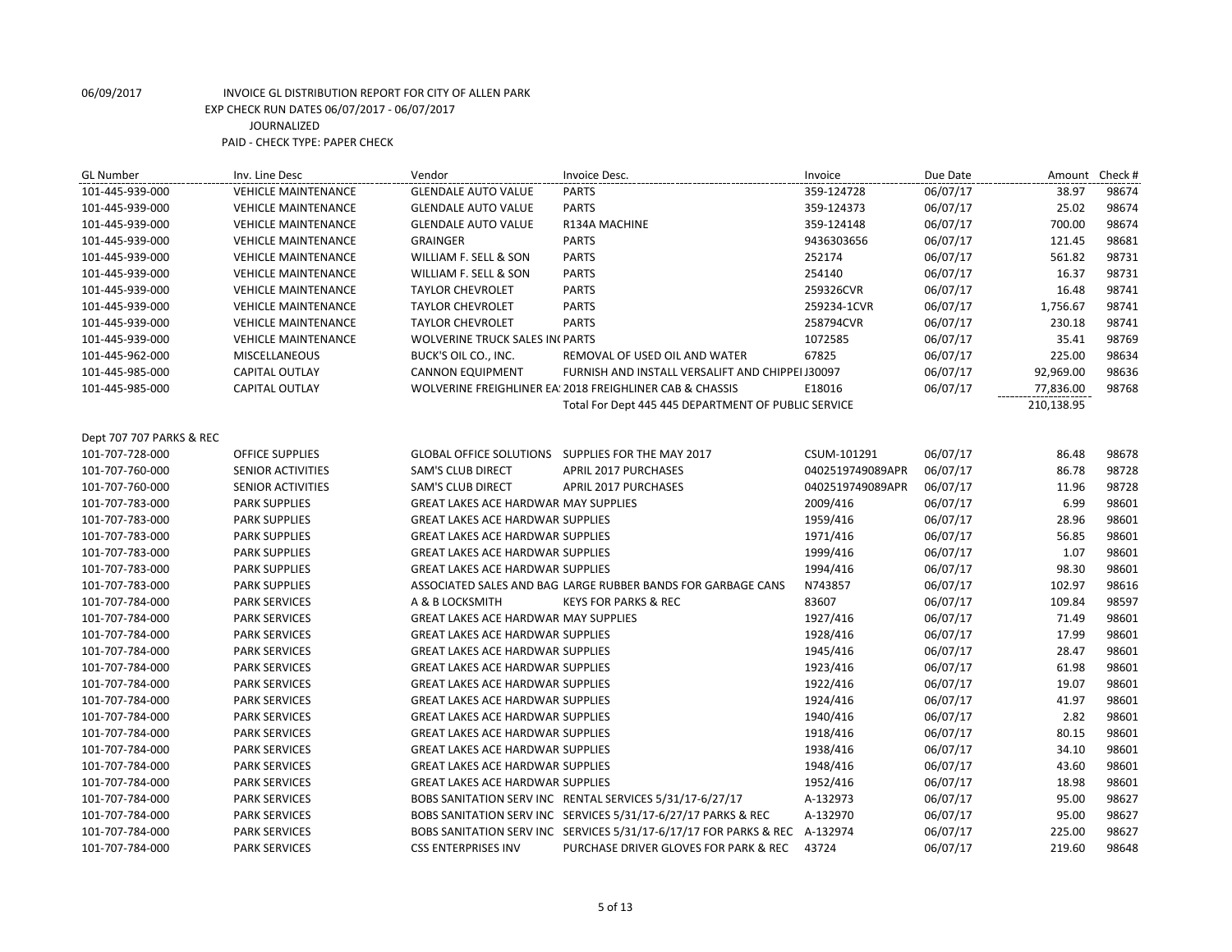| <b>GL Number</b>         | Inv. Line Desc             | Vendor                                      | Invoice Desc.                                                     | Invoice          | Due Date | Amount Check # |       |
|--------------------------|----------------------------|---------------------------------------------|-------------------------------------------------------------------|------------------|----------|----------------|-------|
| 101-445-939-000          | <b>VEHICLE MAINTENANCE</b> | <b>GLENDALE AUTO VALUE</b>                  | <b>PARTS</b>                                                      | 359-124728       | 06/07/17 | 38.97          | 98674 |
| 101-445-939-000          | <b>VEHICLE MAINTENANCE</b> | <b>GLENDALE AUTO VALUE</b>                  | <b>PARTS</b>                                                      | 359-124373       | 06/07/17 | 25.02          | 98674 |
| 101-445-939-000          | <b>VEHICLE MAINTENANCE</b> | <b>GLENDALE AUTO VALUE</b>                  | R134A MACHINE                                                     | 359-124148       | 06/07/17 | 700.00         | 98674 |
| 101-445-939-000          | <b>VEHICLE MAINTENANCE</b> | <b>GRAINGER</b>                             | <b>PARTS</b>                                                      | 9436303656       | 06/07/17 | 121.45         | 98681 |
| 101-445-939-000          | <b>VEHICLE MAINTENANCE</b> | WILLIAM F. SELL & SON                       | <b>PARTS</b>                                                      | 252174           | 06/07/17 | 561.82         | 98731 |
| 101-445-939-000          | <b>VEHICLE MAINTENANCE</b> | WILLIAM F. SELL & SON                       | <b>PARTS</b>                                                      | 254140           | 06/07/17 | 16.37          | 98731 |
| 101-445-939-000          | <b>VEHICLE MAINTENANCE</b> | <b>TAYLOR CHEVROLET</b>                     | <b>PARTS</b>                                                      | 259326CVR        | 06/07/17 | 16.48          | 98741 |
| 101-445-939-000          | <b>VEHICLE MAINTENANCE</b> | <b>TAYLOR CHEVROLET</b>                     | <b>PARTS</b>                                                      | 259234-1CVR      | 06/07/17 | 1,756.67       | 98741 |
| 101-445-939-000          | <b>VEHICLE MAINTENANCE</b> | <b>TAYLOR CHEVROLET</b>                     | <b>PARTS</b>                                                      | 258794CVR        | 06/07/17 | 230.18         | 98741 |
| 101-445-939-000          | <b>VEHICLE MAINTENANCE</b> | <b>WOLVERINE TRUCK SALES IN PARTS</b>       |                                                                   | 1072585          | 06/07/17 | 35.41          | 98769 |
| 101-445-962-000          | <b>MISCELLANEOUS</b>       | BUCK'S OIL CO., INC.                        | REMOVAL OF USED OIL AND WATER                                     | 67825            | 06/07/17 | 225.00         | 98634 |
| 101-445-985-000          | <b>CAPITAL OUTLAY</b>      | <b>CANNON EQUIPMENT</b>                     | FURNISH AND INSTALL VERSALIFT AND CHIPPEI J30097                  |                  | 06/07/17 | 92,969.00      | 98636 |
| 101-445-985-000          | CAPITAL OUTLAY             |                                             | WOLVERINE FREIGHLINER EA: 2018 FREIGHLINER CAB & CHASSIS          | E18016           | 06/07/17 | 77,836.00      | 98768 |
|                          |                            |                                             | Total For Dept 445 445 DEPARTMENT OF PUBLIC SERVICE               |                  |          | 210,138.95     |       |
|                          |                            |                                             |                                                                   |                  |          |                |       |
| Dept 707 707 PARKS & REC |                            |                                             |                                                                   |                  |          |                |       |
| 101-707-728-000          | <b>OFFICE SUPPLIES</b>     |                                             | GLOBAL OFFICE SOLUTIONS SUPPLIES FOR THE MAY 2017                 | CSUM-101291      | 06/07/17 | 86.48          | 98678 |
| 101-707-760-000          | <b>SENIOR ACTIVITIES</b>   | <b>SAM'S CLUB DIRECT</b>                    | <b>APRIL 2017 PURCHASES</b>                                       | 0402519749089APR | 06/07/17 | 86.78          | 98728 |
| 101-707-760-000          | <b>SENIOR ACTIVITIES</b>   | <b>SAM'S CLUB DIRECT</b>                    | APRIL 2017 PURCHASES                                              | 0402519749089APR | 06/07/17 | 11.96          | 98728 |
| 101-707-783-000          | <b>PARK SUPPLIES</b>       | GREAT LAKES ACE HARDWAR MAY SUPPLIES        |                                                                   | 2009/416         | 06/07/17 | 6.99           | 98601 |
| 101-707-783-000          | <b>PARK SUPPLIES</b>       | <b>GREAT LAKES ACE HARDWAR SUPPLIES</b>     |                                                                   | 1959/416         | 06/07/17 | 28.96          | 98601 |
| 101-707-783-000          | <b>PARK SUPPLIES</b>       | <b>GREAT LAKES ACE HARDWAR SUPPLIES</b>     |                                                                   | 1971/416         | 06/07/17 | 56.85          | 98601 |
| 101-707-783-000          | <b>PARK SUPPLIES</b>       | <b>GREAT LAKES ACE HARDWAR SUPPLIES</b>     |                                                                   | 1999/416         | 06/07/17 | 1.07           | 98601 |
| 101-707-783-000          | <b>PARK SUPPLIES</b>       | <b>GREAT LAKES ACE HARDWAR SUPPLIES</b>     |                                                                   | 1994/416         | 06/07/17 | 98.30          | 98601 |
| 101-707-783-000          | <b>PARK SUPPLIES</b>       |                                             | ASSOCIATED SALES AND BAG LARGE RUBBER BANDS FOR GARBAGE CANS      | N743857          | 06/07/17 | 102.97         | 98616 |
| 101-707-784-000          | <b>PARK SERVICES</b>       | A & B LOCKSMITH                             | <b>KEYS FOR PARKS &amp; REC</b>                                   | 83607            | 06/07/17 | 109.84         | 98597 |
| 101-707-784-000          | <b>PARK SERVICES</b>       | <b>GREAT LAKES ACE HARDWAR MAY SUPPLIES</b> |                                                                   | 1927/416         | 06/07/17 | 71.49          | 98601 |
| 101-707-784-000          | <b>PARK SERVICES</b>       | <b>GREAT LAKES ACE HARDWAR SUPPLIES</b>     |                                                                   | 1928/416         | 06/07/17 | 17.99          | 98601 |
| 101-707-784-000          | <b>PARK SERVICES</b>       | <b>GREAT LAKES ACE HARDWAR SUPPLIES</b>     |                                                                   | 1945/416         | 06/07/17 | 28.47          | 98601 |
| 101-707-784-000          | <b>PARK SERVICES</b>       | <b>GREAT LAKES ACE HARDWAR SUPPLIES</b>     |                                                                   | 1923/416         | 06/07/17 | 61.98          | 98601 |
| 101-707-784-000          | <b>PARK SERVICES</b>       | <b>GREAT LAKES ACE HARDWAR SUPPLIES</b>     |                                                                   | 1922/416         | 06/07/17 | 19.07          | 98601 |
| 101-707-784-000          | <b>PARK SERVICES</b>       | <b>GREAT LAKES ACE HARDWAR SUPPLIES</b>     |                                                                   | 1924/416         | 06/07/17 | 41.97          | 98601 |
| 101-707-784-000          | <b>PARK SERVICES</b>       | <b>GREAT LAKES ACE HARDWAR SUPPLIES</b>     |                                                                   | 1940/416         | 06/07/17 | 2.82           | 98601 |
| 101-707-784-000          | <b>PARK SERVICES</b>       | <b>GREAT LAKES ACE HARDWAR SUPPLIES</b>     |                                                                   | 1918/416         | 06/07/17 | 80.15          | 98601 |
| 101-707-784-000          | <b>PARK SERVICES</b>       | <b>GREAT LAKES ACE HARDWAR SUPPLIES</b>     |                                                                   | 1938/416         | 06/07/17 | 34.10          | 98601 |
| 101-707-784-000          | <b>PARK SERVICES</b>       | <b>GREAT LAKES ACE HARDWAR SUPPLIES</b>     |                                                                   | 1948/416         | 06/07/17 | 43.60          | 98601 |
| 101-707-784-000          | <b>PARK SERVICES</b>       | <b>GREAT LAKES ACE HARDWAR SUPPLIES</b>     |                                                                   | 1952/416         | 06/07/17 | 18.98          | 98601 |
| 101-707-784-000          | <b>PARK SERVICES</b>       |                                             | BOBS SANITATION SERV INC RENTAL SERVICES 5/31/17-6/27/17          | A-132973         | 06/07/17 | 95.00          | 98627 |
| 101-707-784-000          | <b>PARK SERVICES</b>       |                                             | BOBS SANITATION SERV INC SERVICES 5/31/17-6/27/17 PARKS & REC     | A-132970         | 06/07/17 | 95.00          | 98627 |
| 101-707-784-000          | <b>PARK SERVICES</b>       |                                             | BOBS SANITATION SERV INC SERVICES 5/31/17-6/17/17 FOR PARKS & REC | A-132974         | 06/07/17 | 225.00         | 98627 |
| 101-707-784-000          | <b>PARK SERVICES</b>       | <b>CSS ENTERPRISES INV</b>                  | PURCHASE DRIVER GLOVES FOR PARK & REC                             | 43724            | 06/07/17 | 219.60         | 98648 |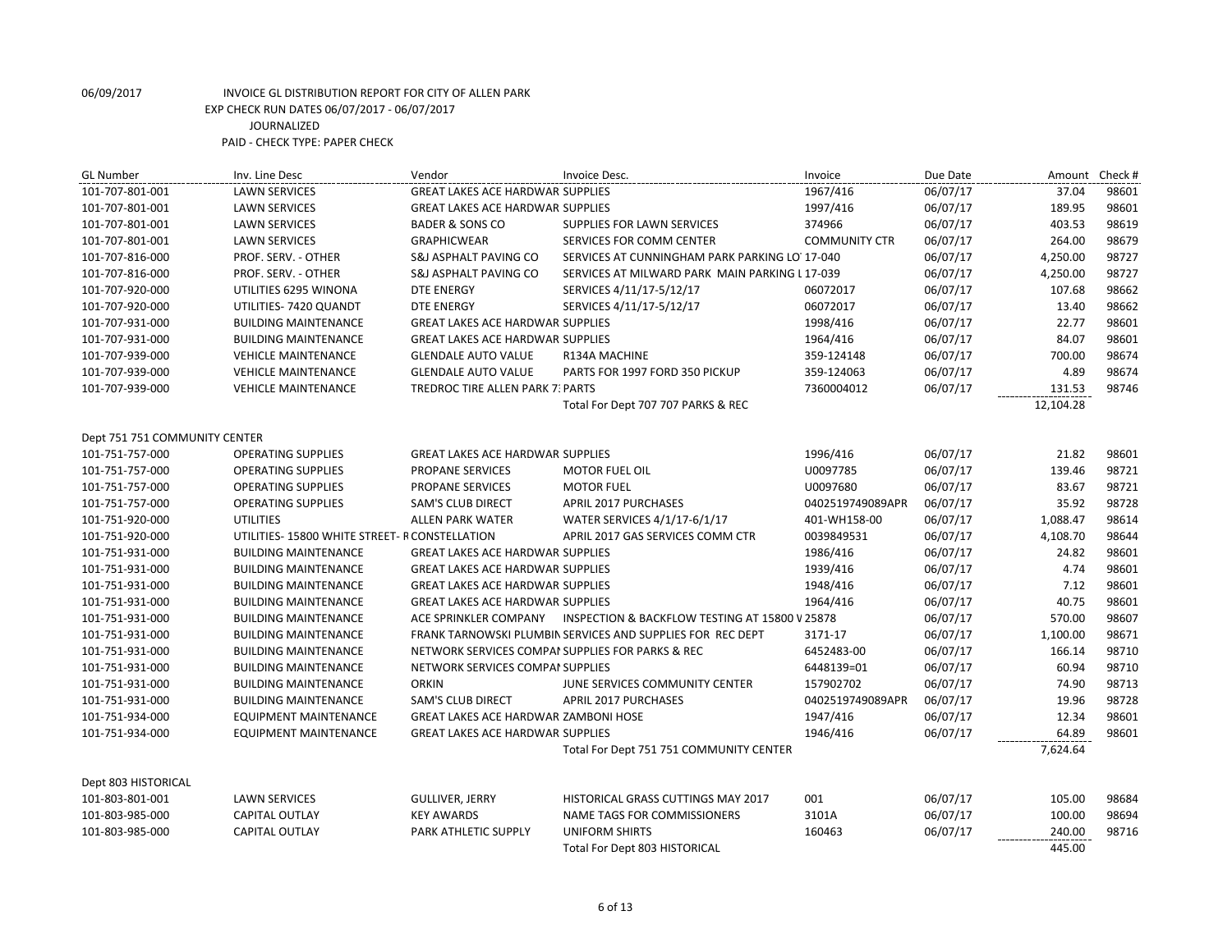| <b>GL Number</b>              | Inv. Line Desc                                 | Vendor                                           | Invoice Desc.                                                        | Invoice              | Due Date | Amount    | Check # |
|-------------------------------|------------------------------------------------|--------------------------------------------------|----------------------------------------------------------------------|----------------------|----------|-----------|---------|
| 101-707-801-001               | <b>LAWN SERVICES</b>                           | <b>GREAT LAKES ACE HARDWAR SUPPLIES</b>          |                                                                      | 1967/416             | 06/07/17 | 37.04     | 98601   |
| 101-707-801-001               | <b>LAWN SERVICES</b>                           | <b>GREAT LAKES ACE HARDWAR SUPPLIES</b>          |                                                                      | 1997/416             | 06/07/17 | 189.95    | 98601   |
| 101-707-801-001               | <b>LAWN SERVICES</b>                           | <b>BADER &amp; SONS CO</b>                       | SUPPLIES FOR LAWN SERVICES                                           | 374966               | 06/07/17 | 403.53    | 98619   |
| 101-707-801-001               | <b>LAWN SERVICES</b>                           | <b>GRAPHICWEAR</b>                               | SERVICES FOR COMM CENTER                                             | <b>COMMUNITY CTR</b> | 06/07/17 | 264.00    | 98679   |
| 101-707-816-000               | PROF. SERV. - OTHER                            | S&J ASPHALT PAVING CO                            | SERVICES AT CUNNINGHAM PARK PARKING LO 17-040                        |                      | 06/07/17 | 4,250.00  | 98727   |
| 101-707-816-000               | PROF. SERV. - OTHER                            | <b>S&amp;J ASPHALT PAVING CO</b>                 | SERVICES AT MILWARD PARK MAIN PARKING L 17-039                       |                      | 06/07/17 | 4,250.00  | 98727   |
| 101-707-920-000               | UTILITIES 6295 WINONA                          | <b>DTE ENERGY</b>                                | SERVICES 4/11/17-5/12/17                                             | 06072017             | 06/07/17 | 107.68    | 98662   |
| 101-707-920-000               | UTILITIES-7420 QUANDT                          | <b>DTE ENERGY</b>                                | SERVICES 4/11/17-5/12/17                                             | 06072017             | 06/07/17 | 13.40     | 98662   |
| 101-707-931-000               | <b>BUILDING MAINTENANCE</b>                    | <b>GREAT LAKES ACE HARDWAR SUPPLIES</b>          |                                                                      | 1998/416             | 06/07/17 | 22.77     | 98601   |
| 101-707-931-000               | <b>BUILDING MAINTENANCE</b>                    | <b>GREAT LAKES ACE HARDWAR SUPPLIES</b>          |                                                                      | 1964/416             | 06/07/17 | 84.07     | 98601   |
| 101-707-939-000               | <b>VEHICLE MAINTENANCE</b>                     | <b>GLENDALE AUTO VALUE</b>                       | R134A MACHINE                                                        | 359-124148           | 06/07/17 | 700.00    | 98674   |
| 101-707-939-000               | <b>VEHICLE MAINTENANCE</b>                     | <b>GLENDALE AUTO VALUE</b>                       | PARTS FOR 1997 FORD 350 PICKUP                                       | 359-124063           | 06/07/17 | 4.89      | 98674   |
| 101-707-939-000               | <b>VEHICLE MAINTENANCE</b>                     | <b>TREDROC TIRE ALLEN PARK 7: PARTS</b>          |                                                                      | 7360004012           | 06/07/17 | 131.53    | 98746   |
|                               |                                                |                                                  | Total For Dept 707 707 PARKS & REC                                   |                      |          | 12,104.28 |         |
| Dept 751 751 COMMUNITY CENTER |                                                |                                                  |                                                                      |                      |          |           |         |
| 101-751-757-000               | <b>OPERATING SUPPLIES</b>                      | <b>GREAT LAKES ACE HARDWAR SUPPLIES</b>          |                                                                      | 1996/416             | 06/07/17 | 21.82     | 98601   |
| 101-751-757-000               | <b>OPERATING SUPPLIES</b>                      | PROPANE SERVICES                                 | <b>MOTOR FUEL OIL</b>                                                | U0097785             | 06/07/17 | 139.46    | 98721   |
| 101-751-757-000               | <b>OPERATING SUPPLIES</b>                      | PROPANE SERVICES                                 | <b>MOTOR FUEL</b>                                                    | U0097680             | 06/07/17 | 83.67     | 98721   |
| 101-751-757-000               | <b>OPERATING SUPPLIES</b>                      | <b>SAM'S CLUB DIRECT</b>                         | APRIL 2017 PURCHASES                                                 | 0402519749089APR     | 06/07/17 | 35.92     | 98728   |
| 101-751-920-000               | <b>UTILITIES</b>                               | <b>ALLEN PARK WATER</b>                          | WATER SERVICES 4/1/17-6/1/17                                         | 401-WH158-00         | 06/07/17 | 1,088.47  | 98614   |
| 101-751-920-000               | UTILITIES- 15800 WHITE STREET- R CONSTELLATION |                                                  | APRIL 2017 GAS SERVICES COMM CTR                                     | 0039849531           | 06/07/17 | 4,108.70  | 98644   |
| 101-751-931-000               | <b>BUILDING MAINTENANCE</b>                    | <b>GREAT LAKES ACE HARDWAR SUPPLIES</b>          |                                                                      | 1986/416             | 06/07/17 | 24.82     | 98601   |
| 101-751-931-000               | <b>BUILDING MAINTENANCE</b>                    | <b>GREAT LAKES ACE HARDWAR SUPPLIES</b>          |                                                                      | 1939/416             | 06/07/17 | 4.74      | 98601   |
| 101-751-931-000               | <b>BUILDING MAINTENANCE</b>                    | <b>GREAT LAKES ACE HARDWAR SUPPLIES</b>          |                                                                      | 1948/416             | 06/07/17 | 7.12      | 98601   |
| 101-751-931-000               | <b>BUILDING MAINTENANCE</b>                    | <b>GREAT LAKES ACE HARDWAR SUPPLIES</b>          |                                                                      | 1964/416             | 06/07/17 | 40.75     | 98601   |
| 101-751-931-000               | <b>BUILDING MAINTENANCE</b>                    |                                                  | ACE SPRINKLER COMPANY INSPECTION & BACKFLOW TESTING AT 15800 V 25878 |                      | 06/07/17 | 570.00    | 98607   |
| 101-751-931-000               | <b>BUILDING MAINTENANCE</b>                    |                                                  | FRANK TARNOWSKI PLUMBIN SERVICES AND SUPPLIES FOR REC DEPT           | 3171-17              | 06/07/17 | 1,100.00  | 98671   |
| 101-751-931-000               | <b>BUILDING MAINTENANCE</b>                    | NETWORK SERVICES COMPAI SUPPLIES FOR PARKS & REC |                                                                      | 6452483-00           | 06/07/17 | 166.14    | 98710   |
| 101-751-931-000               | <b>BUILDING MAINTENANCE</b>                    | NETWORK SERVICES COMPAI SUPPLIES                 |                                                                      | 6448139=01           | 06/07/17 | 60.94     | 98710   |
| 101-751-931-000               | <b>BUILDING MAINTENANCE</b>                    | <b>ORKIN</b>                                     | JUNE SERVICES COMMUNITY CENTER                                       | 157902702            | 06/07/17 | 74.90     | 98713   |
| 101-751-931-000               | <b>BUILDING MAINTENANCE</b>                    | <b>SAM'S CLUB DIRECT</b>                         | <b>APRIL 2017 PURCHASES</b>                                          | 0402519749089APR     | 06/07/17 | 19.96     | 98728   |
| 101-751-934-000               | <b>EQUIPMENT MAINTENANCE</b>                   | GREAT LAKES ACE HARDWAR ZAMBONI HOSE             |                                                                      | 1947/416             | 06/07/17 | 12.34     | 98601   |
| 101-751-934-000               | EQUIPMENT MAINTENANCE                          | <b>GREAT LAKES ACE HARDWAR SUPPLIES</b>          |                                                                      | 1946/416             | 06/07/17 | 64.89     | 98601   |
|                               |                                                |                                                  | Total For Dept 751 751 COMMUNITY CENTER                              |                      |          | 7,624.64  |         |
| Dept 803 HISTORICAL           |                                                |                                                  |                                                                      |                      |          |           |         |
| 101-803-801-001               | <b>LAWN SERVICES</b>                           | <b>GULLIVER, JERRY</b>                           | HISTORICAL GRASS CUTTINGS MAY 2017                                   | 001                  | 06/07/17 | 105.00    | 98684   |
| 101-803-985-000               | <b>CAPITAL OUTLAY</b>                          | <b>KEY AWARDS</b>                                | NAME TAGS FOR COMMISSIONERS                                          | 3101A                | 06/07/17 | 100.00    | 98694   |
| 101-803-985-000               | <b>CAPITAL OUTLAY</b>                          | PARK ATHLETIC SUPPLY                             | <b>UNIFORM SHIRTS</b>                                                | 160463               | 06/07/17 | 240.00    | 98716   |
|                               |                                                |                                                  | Total For Dept 803 HISTORICAL                                        |                      |          | 445.00    |         |
|                               |                                                |                                                  |                                                                      |                      |          |           |         |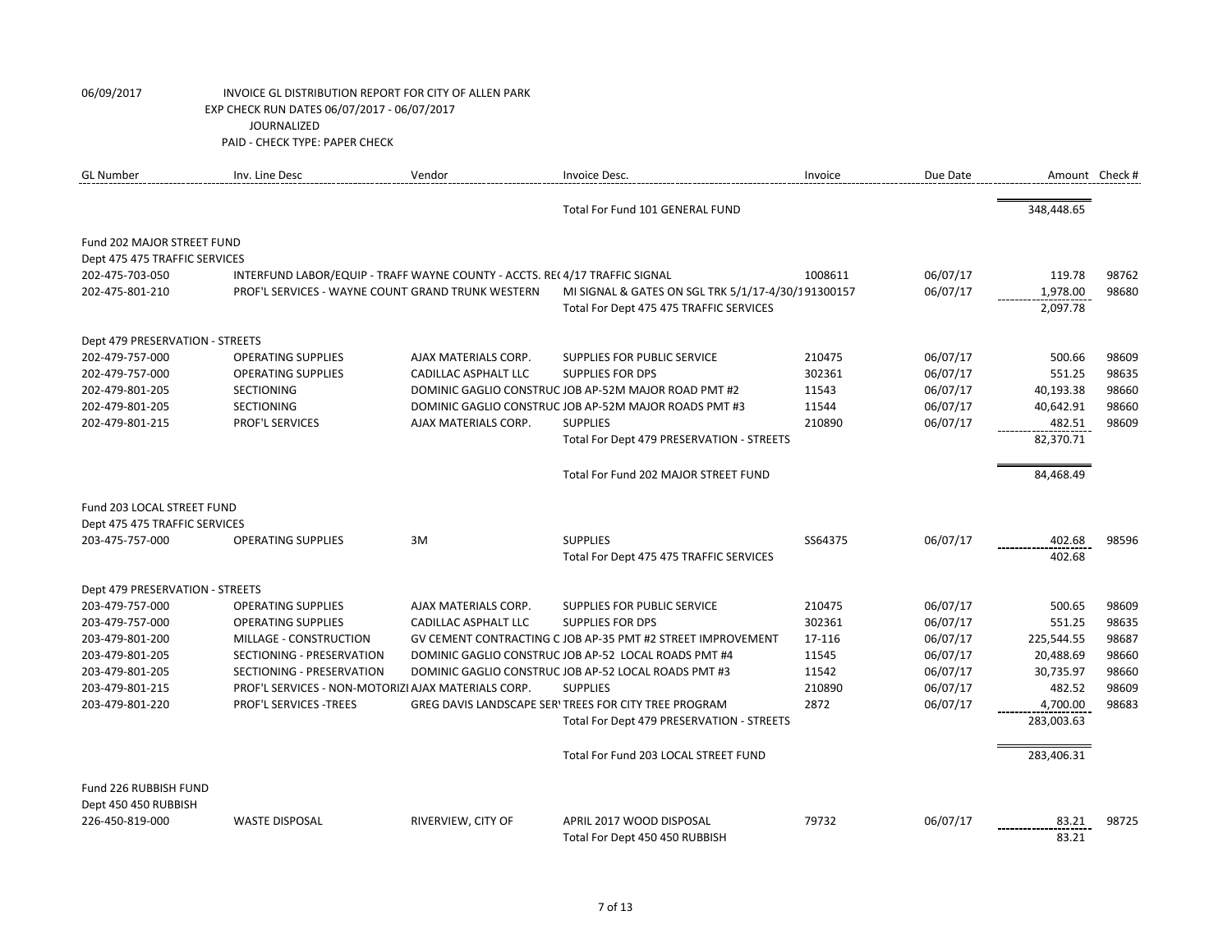| <b>GL Number</b>                  | Inv. Line Desc                                                             | Vendor                      | Invoice Desc.                                               | Invoice | Due Date | Amount Check # |       |
|-----------------------------------|----------------------------------------------------------------------------|-----------------------------|-------------------------------------------------------------|---------|----------|----------------|-------|
|                                   |                                                                            |                             | Total For Fund 101 GENERAL FUND                             |         |          | 348,448.65     |       |
| <b>Fund 202 MAJOR STREET FUND</b> |                                                                            |                             |                                                             |         |          |                |       |
| Dept 475 475 TRAFFIC SERVICES     |                                                                            |                             |                                                             |         |          |                |       |
| 202-475-703-050                   | INTERFUND LABOR/EQUIP - TRAFF WAYNE COUNTY - ACCTS. RE(4/17 TRAFFIC SIGNAL |                             |                                                             | 1008611 | 06/07/17 | 119.78         | 98762 |
| 202-475-801-210                   | PROF'L SERVICES - WAYNE COUNT GRAND TRUNK WESTERN                          |                             | MI SIGNAL & GATES ON SGL TRK 5/1/17-4/30/191300157          |         | 06/07/17 | 1,978.00       | 98680 |
|                                   |                                                                            |                             | Total For Dept 475 475 TRAFFIC SERVICES                     |         |          | 2,097.78       |       |
| Dept 479 PRESERVATION - STREETS   |                                                                            |                             |                                                             |         |          |                |       |
| 202-479-757-000                   | <b>OPERATING SUPPLIES</b>                                                  | AJAX MATERIALS CORP.        | <b>SUPPLIES FOR PUBLIC SERVICE</b>                          | 210475  | 06/07/17 | 500.66         | 98609 |
| 202-479-757-000                   | <b>OPERATING SUPPLIES</b>                                                  | <b>CADILLAC ASPHALT LLC</b> | <b>SUPPLIES FOR DPS</b>                                     | 302361  | 06/07/17 | 551.25         | 98635 |
| 202-479-801-205                   | <b>SECTIONING</b>                                                          |                             | DOMINIC GAGLIO CONSTRUC JOB AP-52M MAJOR ROAD PMT #2        | 11543   | 06/07/17 | 40,193.38      | 98660 |
| 202-479-801-205                   | <b>SECTIONING</b>                                                          |                             | DOMINIC GAGLIO CONSTRUC JOB AP-52M MAJOR ROADS PMT #3       | 11544   | 06/07/17 | 40,642.91      | 98660 |
| 202-479-801-215                   | PROF'L SERVICES                                                            | AJAX MATERIALS CORP.        | <b>SUPPLIES</b>                                             | 210890  | 06/07/17 | 482.51         | 98609 |
|                                   |                                                                            |                             | Total For Dept 479 PRESERVATION - STREETS                   |         |          | 82,370.71      |       |
|                                   |                                                                            |                             | Total For Fund 202 MAJOR STREET FUND                        |         |          | 84,468.49      |       |
| Fund 203 LOCAL STREET FUND        |                                                                            |                             |                                                             |         |          |                |       |
| Dept 475 475 TRAFFIC SERVICES     |                                                                            |                             |                                                             |         |          |                |       |
| 203-475-757-000                   | <b>OPERATING SUPPLIES</b>                                                  | 3M                          | <b>SUPPLIES</b>                                             | SS64375 | 06/07/17 | 402.68         | 98596 |
|                                   |                                                                            |                             | Total For Dept 475 475 TRAFFIC SERVICES                     |         |          | 402.68         |       |
| Dept 479 PRESERVATION - STREETS   |                                                                            |                             |                                                             |         |          |                |       |
| 203-479-757-000                   | <b>OPERATING SUPPLIES</b>                                                  | AJAX MATERIALS CORP.        | SUPPLIES FOR PUBLIC SERVICE                                 | 210475  | 06/07/17 | 500.65         | 98609 |
| 203-479-757-000                   | <b>OPERATING SUPPLIES</b>                                                  | <b>CADILLAC ASPHALT LLC</b> | <b>SUPPLIES FOR DPS</b>                                     | 302361  | 06/07/17 | 551.25         | 98635 |
| 203-479-801-200                   | MILLAGE - CONSTRUCTION                                                     |                             | GV CEMENT CONTRACTING C JOB AP-35 PMT #2 STREET IMPROVEMENT | 17-116  | 06/07/17 | 225,544.55     | 98687 |
| 203-479-801-205                   | SECTIONING - PRESERVATION                                                  |                             | DOMINIC GAGLIO CONSTRUC JOB AP-52 LOCAL ROADS PMT #4        | 11545   | 06/07/17 | 20,488.69      | 98660 |
| 203-479-801-205                   | SECTIONING - PRESERVATION                                                  |                             | DOMINIC GAGLIO CONSTRUC JOB AP-52 LOCAL ROADS PMT #3        | 11542   | 06/07/17 | 30,735.97      | 98660 |
| 203-479-801-215                   | PROF'L SERVICES - NON-MOTORIZI AJAX MATERIALS CORP.                        |                             | <b>SUPPLIES</b>                                             | 210890  | 06/07/17 | 482.52         | 98609 |
| 203-479-801-220                   | PROF'L SERVICES - TREES                                                    |                             | GREG DAVIS LANDSCAPE SER' TREES FOR CITY TREE PROGRAM       | 2872    | 06/07/17 | 4,700.00       | 98683 |
|                                   |                                                                            |                             | Total For Dept 479 PRESERVATION - STREETS                   |         |          | 283,003.63     |       |
|                                   |                                                                            |                             | Total For Fund 203 LOCAL STREET FUND                        |         |          | 283,406.31     |       |
| Fund 226 RUBBISH FUND             |                                                                            |                             |                                                             |         |          |                |       |
| Dept 450 450 RUBBISH              |                                                                            |                             |                                                             |         |          |                |       |
| 226-450-819-000                   | <b>WASTE DISPOSAL</b>                                                      | RIVERVIEW, CITY OF          | APRIL 2017 WOOD DISPOSAL                                    | 79732   | 06/07/17 | 83.21          | 98725 |
|                                   |                                                                            |                             | Total For Dept 450 450 RUBBISH                              |         |          | 83.21          |       |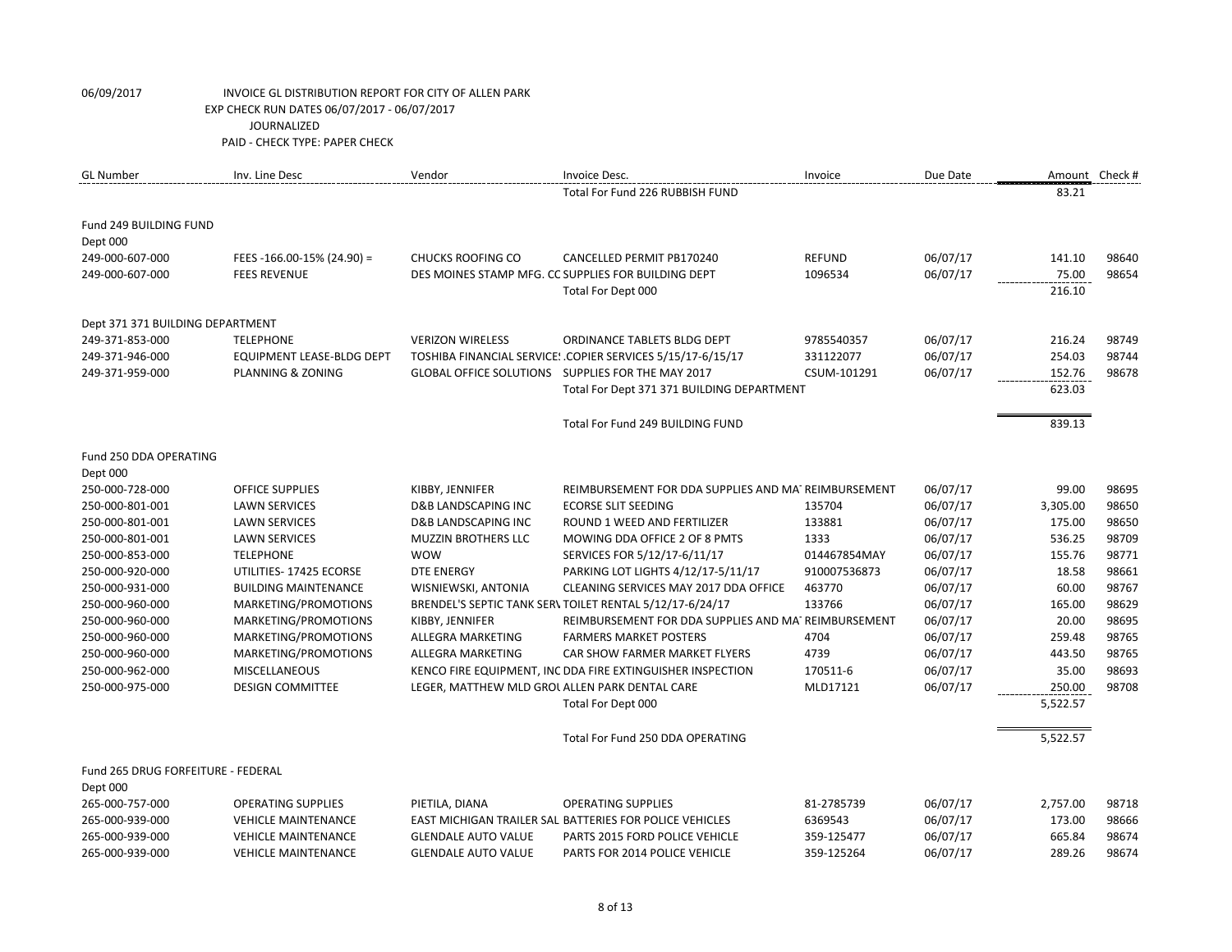| <b>GL Number</b>                   | Inv. Line Desc                   | Vendor                                         | Invoice Desc.                                               | Invoice       | Due Date | Amount Check # |       |
|------------------------------------|----------------------------------|------------------------------------------------|-------------------------------------------------------------|---------------|----------|----------------|-------|
|                                    |                                  |                                                | Total For Fund 226 RUBBISH FUND                             |               |          | 83.21          |       |
| Fund 249 BUILDING FUND             |                                  |                                                |                                                             |               |          |                |       |
| Dept 000                           |                                  |                                                |                                                             |               |          |                |       |
| 249-000-607-000                    | FEES -166.00-15% (24.90) =       | <b>CHUCKS ROOFING CO</b>                       | CANCELLED PERMIT PB170240                                   | <b>REFUND</b> | 06/07/17 | 141.10         | 98640 |
| 249-000-607-000                    | <b>FEES REVENUE</b>              |                                                | DES MOINES STAMP MFG. CC SUPPLIES FOR BUILDING DEPT         | 1096534       | 06/07/17 | 75.00          | 98654 |
|                                    |                                  |                                                | Total For Dept 000                                          |               |          | 216.10         |       |
| Dept 371 371 BUILDING DEPARTMENT   |                                  |                                                |                                                             |               |          |                |       |
| 249-371-853-000                    | <b>TELEPHONE</b>                 | <b>VERIZON WIRELESS</b>                        | ORDINANCE TABLETS BLDG DEPT                                 | 9785540357    | 06/07/17 | 216.24         | 98749 |
| 249-371-946-000                    | <b>EQUIPMENT LEASE-BLDG DEPT</b> |                                                | TOSHIBA FINANCIAL SERVICE: .COPIER SERVICES 5/15/17-6/15/17 | 331122077     | 06/07/17 | 254.03         | 98744 |
| 249-371-959-000                    | PLANNING & ZONING                |                                                | GLOBAL OFFICE SOLUTIONS SUPPLIES FOR THE MAY 2017           | CSUM-101291   | 06/07/17 | 152.76         | 98678 |
|                                    |                                  |                                                | Total For Dept 371 371 BUILDING DEPARTMENT                  |               |          | 623.03         |       |
|                                    |                                  |                                                | Total For Fund 249 BUILDING FUND                            |               |          | 839.13         |       |
| Fund 250 DDA OPERATING             |                                  |                                                |                                                             |               |          |                |       |
| Dept 000                           |                                  |                                                |                                                             |               |          |                |       |
| 250-000-728-000                    | <b>OFFICE SUPPLIES</b>           | KIBBY, JENNIFER                                | REIMBURSEMENT FOR DDA SUPPLIES AND MATREIMBURSEMENT         |               | 06/07/17 | 99.00          | 98695 |
| 250-000-801-001                    | <b>LAWN SERVICES</b>             | D&B LANDSCAPING INC                            | <b>ECORSE SLIT SEEDING</b>                                  | 135704        | 06/07/17 | 3,305.00       | 98650 |
| 250-000-801-001                    | <b>LAWN SERVICES</b>             | D&B LANDSCAPING INC                            | ROUND 1 WEED AND FERTILIZER                                 | 133881        | 06/07/17 | 175.00         | 98650 |
| 250-000-801-001                    | <b>LAWN SERVICES</b>             | <b>MUZZIN BROTHERS LLC</b>                     | MOWING DDA OFFICE 2 OF 8 PMTS                               | 1333          | 06/07/17 | 536.25         | 98709 |
| 250-000-853-000                    | <b>TELEPHONE</b>                 | <b>WOW</b>                                     | SERVICES FOR 5/12/17-6/11/17                                | 014467854MAY  | 06/07/17 | 155.76         | 98771 |
| 250-000-920-000                    | UTILITIES- 17425 ECORSE          | <b>DTE ENERGY</b>                              | PARKING LOT LIGHTS 4/12/17-5/11/17                          | 910007536873  | 06/07/17 | 18.58          | 98661 |
| 250-000-931-000                    | <b>BUILDING MAINTENANCE</b>      | WISNIEWSKI, ANTONIA                            | CLEANING SERVICES MAY 2017 DDA OFFICE                       | 463770        | 06/07/17 | 60.00          | 98767 |
| 250-000-960-000                    | MARKETING/PROMOTIONS             |                                                | BRENDEL'S SEPTIC TANK SER\ TOILET RENTAL 5/12/17-6/24/17    | 133766        | 06/07/17 | 165.00         | 98629 |
| 250-000-960-000                    | MARKETING/PROMOTIONS             | KIBBY, JENNIFER                                | REIMBURSEMENT FOR DDA SUPPLIES AND MATREIMBURSEMENT         |               | 06/07/17 | 20.00          | 98695 |
| 250-000-960-000                    | MARKETING/PROMOTIONS             | ALLEGRA MARKETING                              | <b>FARMERS MARKET POSTERS</b>                               | 4704          | 06/07/17 | 259.48         | 98765 |
| 250-000-960-000                    | MARKETING/PROMOTIONS             | ALLEGRA MARKETING                              | CAR SHOW FARMER MARKET FLYERS                               | 4739          | 06/07/17 | 443.50         | 98765 |
| 250-000-962-000                    | <b>MISCELLANEOUS</b>             |                                                | KENCO FIRE EQUIPMENT, INC DDA FIRE EXTINGUISHER INSPECTION  | 170511-6      | 06/07/17 | 35.00          | 98693 |
| 250-000-975-000                    | <b>DESIGN COMMITTEE</b>          | LEGER, MATTHEW MLD GROL ALLEN PARK DENTAL CARE |                                                             | MLD17121      | 06/07/17 | 250.00         | 98708 |
|                                    |                                  |                                                | Total For Dept 000                                          |               |          | 5,522.57       |       |
|                                    |                                  |                                                | Total For Fund 250 DDA OPERATING                            |               |          | 5,522.57       |       |
| Fund 265 DRUG FORFEITURE - FEDERAL |                                  |                                                |                                                             |               |          |                |       |
| Dept 000                           |                                  |                                                |                                                             |               |          |                |       |
| 265-000-757-000                    | <b>OPERATING SUPPLIES</b>        | PIETILA, DIANA                                 | <b>OPERATING SUPPLIES</b>                                   | 81-2785739    | 06/07/17 | 2,757.00       | 98718 |
| 265-000-939-000                    | <b>VEHICLE MAINTENANCE</b>       |                                                | EAST MICHIGAN TRAILER SAL BATTERIES FOR POLICE VEHICLES     | 6369543       | 06/07/17 | 173.00         | 98666 |
| 265-000-939-000                    | <b>VEHICLE MAINTENANCE</b>       | <b>GLENDALE AUTO VALUE</b>                     | PARTS 2015 FORD POLICE VEHICLE                              | 359-125477    | 06/07/17 | 665.84         | 98674 |
| 265-000-939-000                    | <b>VEHICLE MAINTENANCE</b>       | <b>GLENDALE AUTO VALUE</b>                     | PARTS FOR 2014 POLICE VEHICLE                               | 359-125264    | 06/07/17 | 289.26         | 98674 |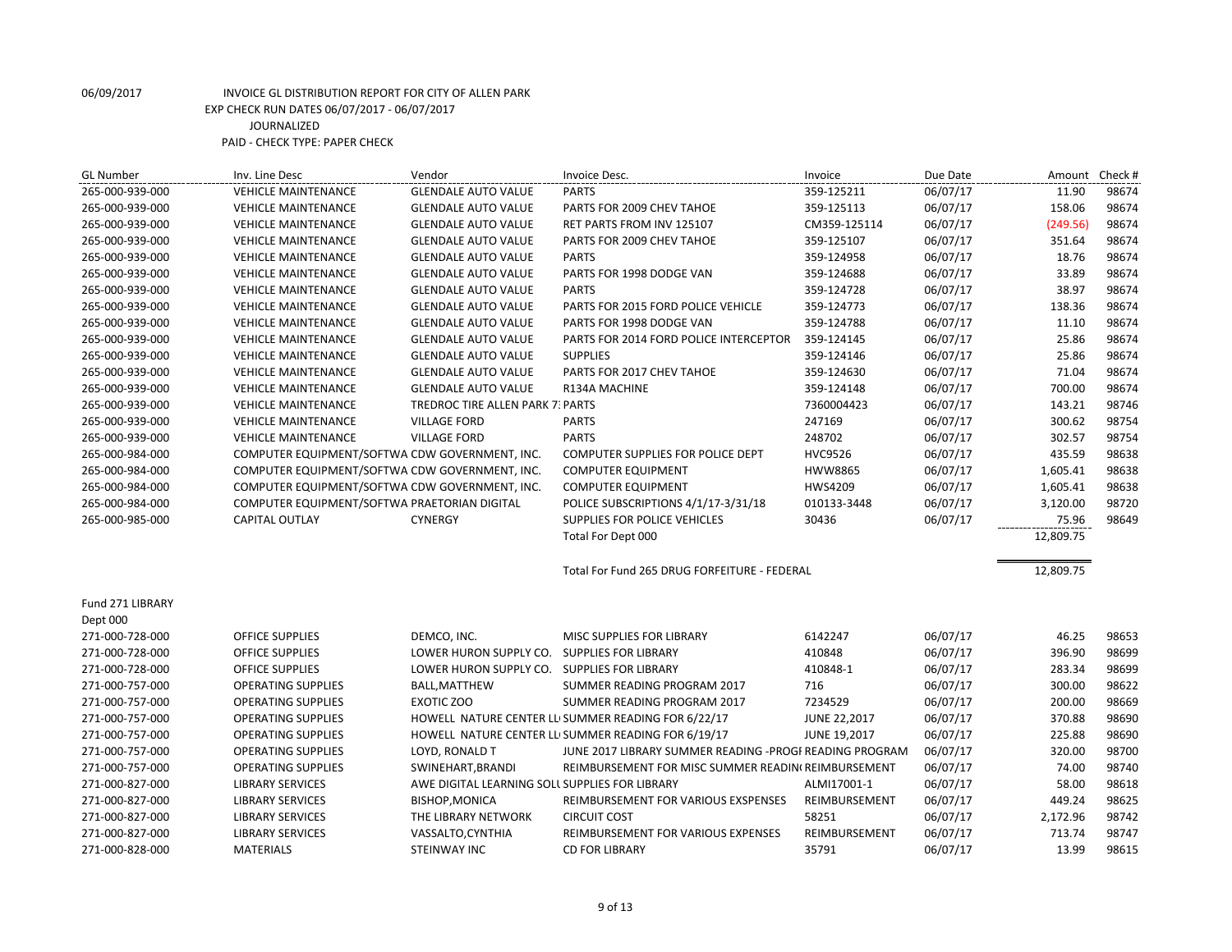| <b>GL Number</b>             | Inv. Line Desc                                 | Vendor                                         | Invoice Desc.                                           | Invoice             | Due Date | Amount    | Check # |
|------------------------------|------------------------------------------------|------------------------------------------------|---------------------------------------------------------|---------------------|----------|-----------|---------|
| 265-000-939-000              | <b>VEHICLE MAINTENANCE</b>                     | <b>GLENDALE AUTO VALUE</b>                     | <b>PARTS</b>                                            | 359-125211          | 06/07/17 | 11.90     | 98674   |
| 265-000-939-000              | <b>VEHICLE MAINTENANCE</b>                     | <b>GLENDALE AUTO VALUE</b>                     | PARTS FOR 2009 CHEV TAHOE                               | 359-125113          | 06/07/17 | 158.06    | 98674   |
| 265-000-939-000              | <b>VEHICLE MAINTENANCE</b>                     | <b>GLENDALE AUTO VALUE</b>                     | RET PARTS FROM INV 125107                               | CM359-125114        | 06/07/17 | (249.56)  | 98674   |
| 265-000-939-000              | <b>VEHICLE MAINTENANCE</b>                     | <b>GLENDALE AUTO VALUE</b>                     | PARTS FOR 2009 CHEV TAHOE                               | 359-125107          | 06/07/17 | 351.64    | 98674   |
| 265-000-939-000              | <b>VEHICLE MAINTENANCE</b>                     | <b>GLENDALE AUTO VALUE</b>                     | <b>PARTS</b>                                            | 359-124958          | 06/07/17 | 18.76     | 98674   |
| 265-000-939-000              | <b>VEHICLE MAINTENANCE</b>                     | <b>GLENDALE AUTO VALUE</b>                     | PARTS FOR 1998 DODGE VAN                                | 359-124688          | 06/07/17 | 33.89     | 98674   |
| 265-000-939-000              | <b>VEHICLE MAINTENANCE</b>                     | <b>GLENDALE AUTO VALUE</b>                     | <b>PARTS</b>                                            | 359-124728          | 06/07/17 | 38.97     | 98674   |
| 265-000-939-000              | <b>VEHICLE MAINTENANCE</b>                     | <b>GLENDALE AUTO VALUE</b>                     | PARTS FOR 2015 FORD POLICE VEHICLE                      | 359-124773          | 06/07/17 | 138.36    | 98674   |
| 265-000-939-000              | <b>VEHICLE MAINTENANCE</b>                     | <b>GLENDALE AUTO VALUE</b>                     | PARTS FOR 1998 DODGE VAN                                | 359-124788          | 06/07/17 | 11.10     | 98674   |
| 265-000-939-000              | <b>VEHICLE MAINTENANCE</b>                     | <b>GLENDALE AUTO VALUE</b>                     | PARTS FOR 2014 FORD POLICE INTERCEPTOR                  | 359-124145          | 06/07/17 | 25.86     | 98674   |
| 265-000-939-000              | <b>VEHICLE MAINTENANCE</b>                     | <b>GLENDALE AUTO VALUE</b>                     | <b>SUPPLIES</b>                                         | 359-124146          | 06/07/17 | 25.86     | 98674   |
| 265-000-939-000              | <b>VEHICLE MAINTENANCE</b>                     | <b>GLENDALE AUTO VALUE</b>                     | PARTS FOR 2017 CHEV TAHOE                               | 359-124630          | 06/07/17 | 71.04     | 98674   |
| 265-000-939-000              | <b>VEHICLE MAINTENANCE</b>                     | <b>GLENDALE AUTO VALUE</b>                     | R134A MACHINE                                           | 359-124148          | 06/07/17 | 700.00    | 98674   |
| 265-000-939-000              | <b>VEHICLE MAINTENANCE</b>                     | TREDROC TIRE ALLEN PARK 7: PARTS               |                                                         | 7360004423          | 06/07/17 | 143.21    | 98746   |
| 265-000-939-000              | <b>VEHICLE MAINTENANCE</b>                     | <b>VILLAGE FORD</b>                            | <b>PARTS</b>                                            | 247169              | 06/07/17 | 300.62    | 98754   |
| 265-000-939-000              | <b>VEHICLE MAINTENANCE</b>                     | <b>VILLAGE FORD</b>                            | <b>PARTS</b>                                            | 248702              | 06/07/17 | 302.57    | 98754   |
| 265-000-984-000              | COMPUTER EQUIPMENT/SOFTWA CDW GOVERNMENT, INC. |                                                | COMPUTER SUPPLIES FOR POLICE DEPT                       | <b>HVC9526</b>      | 06/07/17 | 435.59    | 98638   |
| 265-000-984-000              | COMPUTER EQUIPMENT/SOFTWA CDW GOVERNMENT, INC. |                                                | <b>COMPUTER EQUIPMENT</b>                               | <b>HWW8865</b>      | 06/07/17 | 1,605.41  | 98638   |
| 265-000-984-000              | COMPUTER EQUIPMENT/SOFTWA CDW GOVERNMENT, INC. |                                                | <b>COMPUTER EQUIPMENT</b>                               | HWS4209             | 06/07/17 | 1,605.41  | 98638   |
| 265-000-984-000              | COMPUTER EQUIPMENT/SOFTWA PRAETORIAN DIGITAL   |                                                | POLICE SUBSCRIPTIONS 4/1/17-3/31/18                     | 010133-3448         | 06/07/17 | 3,120.00  | 98720   |
| 265-000-985-000              | <b>CAPITAL OUTLAY</b>                          | <b>CYNERGY</b>                                 | <b>SUPPLIES FOR POLICE VEHICLES</b>                     | 30436               | 06/07/17 | 75.96     | 98649   |
|                              |                                                |                                                | Total For Dept 000                                      |                     |          | 12,809.75 |         |
|                              |                                                |                                                | Total For Fund 265 DRUG FORFEITURE - FEDERAL            |                     |          | 12,809.75 |         |
| Fund 271 LIBRARY<br>Dept 000 |                                                |                                                |                                                         |                     |          |           |         |
| 271-000-728-000              | <b>OFFICE SUPPLIES</b>                         | DEMCO, INC.                                    | MISC SUPPLIES FOR LIBRARY                               | 6142247             | 06/07/17 | 46.25     | 98653   |
| 271-000-728-000              | <b>OFFICE SUPPLIES</b>                         | LOWER HURON SUPPLY CO. SUPPLIES FOR LIBRARY    |                                                         | 410848              | 06/07/17 | 396.90    | 98699   |
| 271-000-728-000              | <b>OFFICE SUPPLIES</b>                         | LOWER HURON SUPPLY CO. SUPPLIES FOR LIBRARY    |                                                         | 410848-1            | 06/07/17 | 283.34    | 98699   |
| 271-000-757-000              | <b>OPERATING SUPPLIES</b>                      | <b>BALL, MATTHEW</b>                           | SUMMER READING PROGRAM 2017                             | 716                 | 06/07/17 | 300.00    | 98622   |
| 271-000-757-000              | <b>OPERATING SUPPLIES</b>                      | <b>EXOTIC ZOO</b>                              | SUMMER READING PROGRAM 2017                             | 7234529             | 06/07/17 | 200.00    | 98669   |
| 271-000-757-000              | <b>OPERATING SUPPLIES</b>                      |                                                | HOWELL NATURE CENTER LL SUMMER READING FOR 6/22/17      | <b>JUNE 22,2017</b> | 06/07/17 | 370.88    | 98690   |
| 271-000-757-000              | <b>OPERATING SUPPLIES</b>                      |                                                | HOWELL NATURE CENTER LL SUMMER READING FOR 6/19/17      | JUNE 19,2017        | 06/07/17 | 225.88    | 98690   |
| 271-000-757-000              | <b>OPERATING SUPPLIES</b>                      | LOYD, RONALD T                                 | JUNE 2017 LIBRARY SUMMER READING -PROGI READING PROGRAM |                     | 06/07/17 | 320.00    | 98700   |
| 271-000-757-000              | <b>OPERATING SUPPLIES</b>                      | SWINEHART, BRANDI                              | REIMBURSEMENT FOR MISC SUMMER READIN(REIMBURSEMENT      |                     | 06/07/17 | 74.00     | 98740   |
| 271-000-827-000              | <b>LIBRARY SERVICES</b>                        | AWE DIGITAL LEARNING SOLL SUPPLIES FOR LIBRARY |                                                         | ALMI17001-1         | 06/07/17 | 58.00     | 98618   |
| 271-000-827-000              | <b>LIBRARY SERVICES</b>                        | <b>BISHOP, MONICA</b>                          | REIMBURSEMENT FOR VARIOUS EXSPENSES                     | REIMBURSEMENT       | 06/07/17 | 449.24    | 98625   |
| 271-000-827-000              | <b>LIBRARY SERVICES</b>                        | THE LIBRARY NETWORK                            | <b>CIRCUIT COST</b>                                     | 58251               | 06/07/17 | 2,172.96  | 98742   |
| 271-000-827-000              | <b>LIBRARY SERVICES</b>                        | VASSALTO, CYNTHIA                              | REIMBURSEMENT FOR VARIOUS EXPENSES                      | REIMBURSEMENT       | 06/07/17 | 713.74    | 98747   |
| 271-000-828-000              | <b>MATERIALS</b>                               | STEINWAY INC                                   | <b>CD FOR LIBRARY</b>                                   | 35791               | 06/07/17 | 13.99     | 98615   |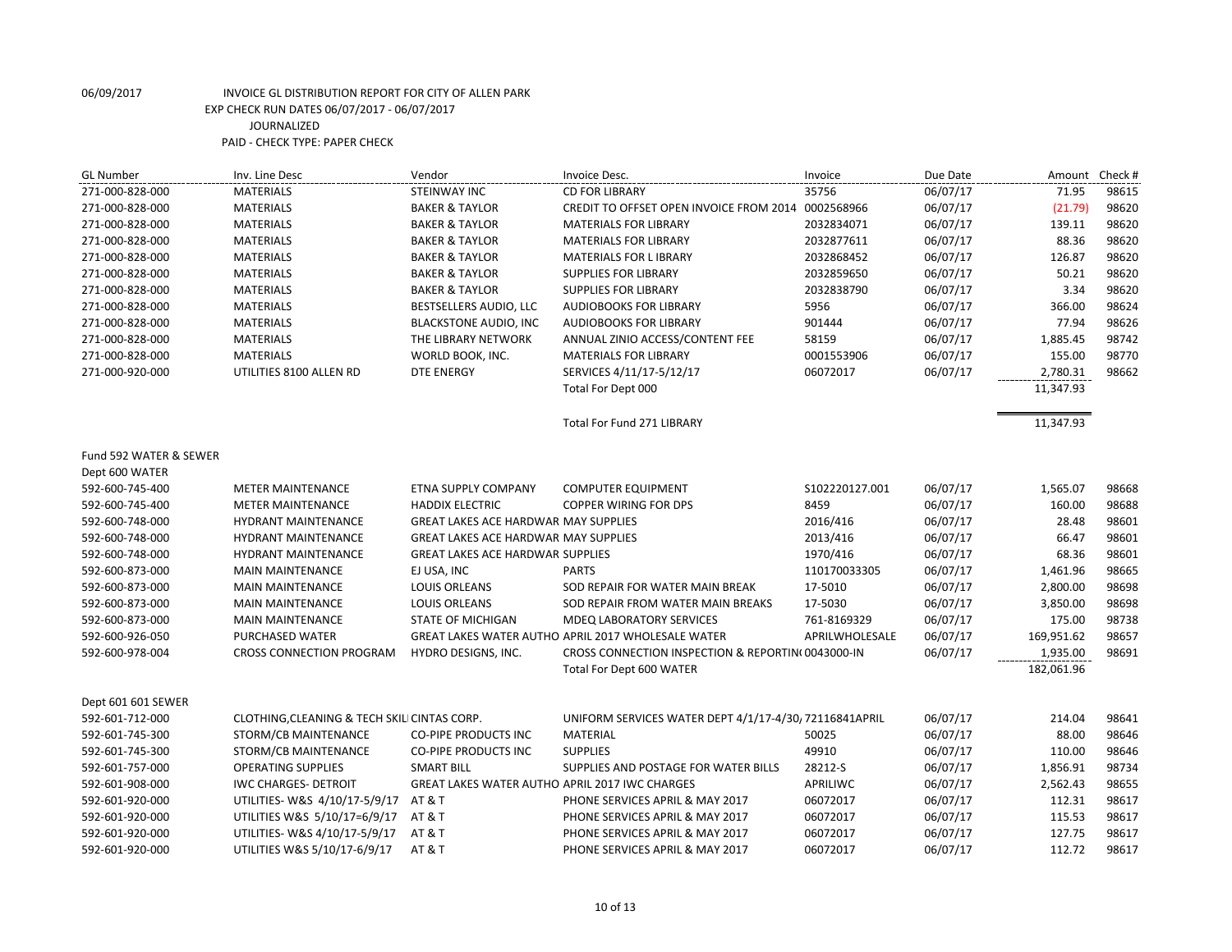| <b>GL Number</b>       | Inv. Line Desc                               | Vendor                                         | Invoice Desc.                                          | Invoice        | Due Date | Amount Check # |       |
|------------------------|----------------------------------------------|------------------------------------------------|--------------------------------------------------------|----------------|----------|----------------|-------|
| 271-000-828-000        | <b>MATERIALS</b>                             | <b>STEINWAY INC</b>                            | <b>CD FOR LIBRARY</b>                                  | 35756          | 06/07/17 | 71.95          | 98615 |
| 271-000-828-000        | <b>MATERIALS</b>                             | <b>BAKER &amp; TAYLOR</b>                      | CREDIT TO OFFSET OPEN INVOICE FROM 2014 0002568966     |                | 06/07/17 | (21.79)        | 98620 |
| 271-000-828-000        | <b>MATERIALS</b>                             | <b>BAKER &amp; TAYLOR</b>                      | <b>MATERIALS FOR LIBRARY</b>                           | 2032834071     | 06/07/17 | 139.11         | 98620 |
| 271-000-828-000        | <b>MATERIALS</b>                             | <b>BAKER &amp; TAYLOR</b>                      | <b>MATERIALS FOR LIBRARY</b>                           | 2032877611     | 06/07/17 | 88.36          | 98620 |
| 271-000-828-000        | <b>MATERIALS</b>                             | <b>BAKER &amp; TAYLOR</b>                      | MATERIALS FOR L IBRARY                                 | 2032868452     | 06/07/17 | 126.87         | 98620 |
| 271-000-828-000        | <b>MATERIALS</b>                             | <b>BAKER &amp; TAYLOR</b>                      | <b>SUPPLIES FOR LIBRARY</b>                            | 2032859650     | 06/07/17 | 50.21          | 98620 |
| 271-000-828-000        | <b>MATERIALS</b>                             | <b>BAKER &amp; TAYLOR</b>                      | <b>SUPPLIES FOR LIBRARY</b>                            | 2032838790     | 06/07/17 | 3.34           | 98620 |
| 271-000-828-000        | <b>MATERIALS</b>                             | BESTSELLERS AUDIO, LLC                         | <b>AUDIOBOOKS FOR LIBRARY</b>                          | 5956           | 06/07/17 | 366.00         | 98624 |
| 271-000-828-000        | <b>MATERIALS</b>                             | <b>BLACKSTONE AUDIO, INC</b>                   | <b>AUDIOBOOKS FOR LIBRARY</b>                          | 901444         | 06/07/17 | 77.94          | 98626 |
| 271-000-828-000        | <b>MATERIALS</b>                             | THE LIBRARY NETWORK                            | ANNUAL ZINIO ACCESS/CONTENT FEE                        | 58159          | 06/07/17 | 1,885.45       | 98742 |
| 271-000-828-000        | <b>MATERIALS</b>                             | WORLD BOOK, INC.                               | <b>MATERIALS FOR LIBRARY</b>                           | 0001553906     | 06/07/17 | 155.00         | 98770 |
| 271-000-920-000        | UTILITIES 8100 ALLEN RD                      | <b>DTE ENERGY</b>                              | SERVICES 4/11/17-5/12/17                               | 06072017       | 06/07/17 | 2,780.31       | 98662 |
|                        |                                              |                                                | Total For Dept 000                                     |                |          | 11,347.93      |       |
|                        |                                              |                                                | <b>Total For Fund 271 LIBRARY</b>                      |                |          | 11,347.93      |       |
| Fund 592 WATER & SEWER |                                              |                                                |                                                        |                |          |                |       |
| Dept 600 WATER         |                                              |                                                |                                                        |                |          |                |       |
| 592-600-745-400        | <b>METER MAINTENANCE</b>                     | ETNA SUPPLY COMPANY                            | <b>COMPUTER EQUIPMENT</b>                              | S102220127.001 | 06/07/17 | 1,565.07       | 98668 |
| 592-600-745-400        | <b>METER MAINTENANCE</b>                     | <b>HADDIX ELECTRIC</b>                         | <b>COPPER WIRING FOR DPS</b>                           | 8459           | 06/07/17 | 160.00         | 98688 |
| 592-600-748-000        | <b>HYDRANT MAINTENANCE</b>                   | <b>GREAT LAKES ACE HARDWAR MAY SUPPLIES</b>    |                                                        | 2016/416       | 06/07/17 | 28.48          | 98601 |
| 592-600-748-000        | HYDRANT MAINTENANCE                          | <b>GREAT LAKES ACE HARDWAR MAY SUPPLIES</b>    |                                                        | 2013/416       | 06/07/17 | 66.47          | 98601 |
| 592-600-748-000        | <b>HYDRANT MAINTENANCE</b>                   | <b>GREAT LAKES ACE HARDWAR SUPPLIES</b>        |                                                        | 1970/416       | 06/07/17 | 68.36          | 98601 |
| 592-600-873-000        | <b>MAIN MAINTENANCE</b>                      | EJ USA, INC                                    | <b>PARTS</b>                                           | 110170033305   | 06/07/17 | 1,461.96       | 98665 |
| 592-600-873-000        | <b>MAIN MAINTENANCE</b>                      | LOUIS ORLEANS                                  | SOD REPAIR FOR WATER MAIN BREAK                        | 17-5010        | 06/07/17 | 2,800.00       | 98698 |
| 592-600-873-000        | <b>MAIN MAINTENANCE</b>                      | LOUIS ORLEANS                                  | SOD REPAIR FROM WATER MAIN BREAKS                      | 17-5030        | 06/07/17 | 3,850.00       | 98698 |
| 592-600-873-000        | <b>MAIN MAINTENANCE</b>                      | <b>STATE OF MICHIGAN</b>                       | <b>MDEQ LABORATORY SERVICES</b>                        | 761-8169329    | 06/07/17 | 175.00         | 98738 |
| 592-600-926-050        | PURCHASED WATER                              |                                                | GREAT LAKES WATER AUTHO APRIL 2017 WHOLESALE WATER     | APRILWHOLESALE | 06/07/17 | 169,951.62     | 98657 |
| 592-600-978-004        | <b>CROSS CONNECTION PROGRAM</b>              | HYDRO DESIGNS, INC.                            | CROSS CONNECTION INSPECTION & REPORTIN(0043000-IN      |                | 06/07/17 | 1,935.00       | 98691 |
|                        |                                              |                                                | Total For Dept 600 WATER                               |                |          | 182,061.96     |       |
| Dept 601 601 SEWER     |                                              |                                                |                                                        |                |          |                |       |
| 592-601-712-000        | CLOTHING, CLEANING & TECH SKILI CINTAS CORP. |                                                | UNIFORM SERVICES WATER DEPT 4/1/17-4/30, 72116841APRIL |                | 06/07/17 | 214.04         | 98641 |
| 592-601-745-300        | STORM/CB MAINTENANCE                         | <b>CO-PIPE PRODUCTS INC</b>                    | <b>MATERIAL</b>                                        | 50025          | 06/07/17 | 88.00          | 98646 |
| 592-601-745-300        | STORM/CB MAINTENANCE                         | <b>CO-PIPE PRODUCTS INC</b>                    | <b>SUPPLIES</b>                                        | 49910          | 06/07/17 | 110.00         | 98646 |
| 592-601-757-000        | <b>OPERATING SUPPLIES</b>                    | <b>SMART BILL</b>                              | SUPPLIES AND POSTAGE FOR WATER BILLS                   | 28212-S        | 06/07/17 | 1,856.91       | 98734 |
| 592-601-908-000        | <b>IWC CHARGES- DETROIT</b>                  | GREAT LAKES WATER AUTHO APRIL 2017 IWC CHARGES |                                                        | APRILIWC       | 06/07/17 | 2,562.43       | 98655 |
| 592-601-920-000        | UTILITIES-W&S 4/10/17-5/9/17                 | AT & T                                         | PHONE SERVICES APRIL & MAY 2017                        | 06072017       | 06/07/17 | 112.31         | 98617 |
| 592-601-920-000        | UTILITIES W&S 5/10/17=6/9/17                 | AT & T                                         | PHONE SERVICES APRIL & MAY 2017                        | 06072017       | 06/07/17 | 115.53         | 98617 |
| 592-601-920-000        | UTILITIES- W&S 4/10/17-5/9/17                | <b>AT &amp; T</b>                              | PHONE SERVICES APRIL & MAY 2017                        | 06072017       | 06/07/17 | 127.75         | 98617 |
| 592-601-920-000        | UTILITIES W&S 5/10/17-6/9/17                 | <b>AT &amp; T</b>                              | PHONE SERVICES APRIL & MAY 2017                        | 06072017       | 06/07/17 | 112.72         | 98617 |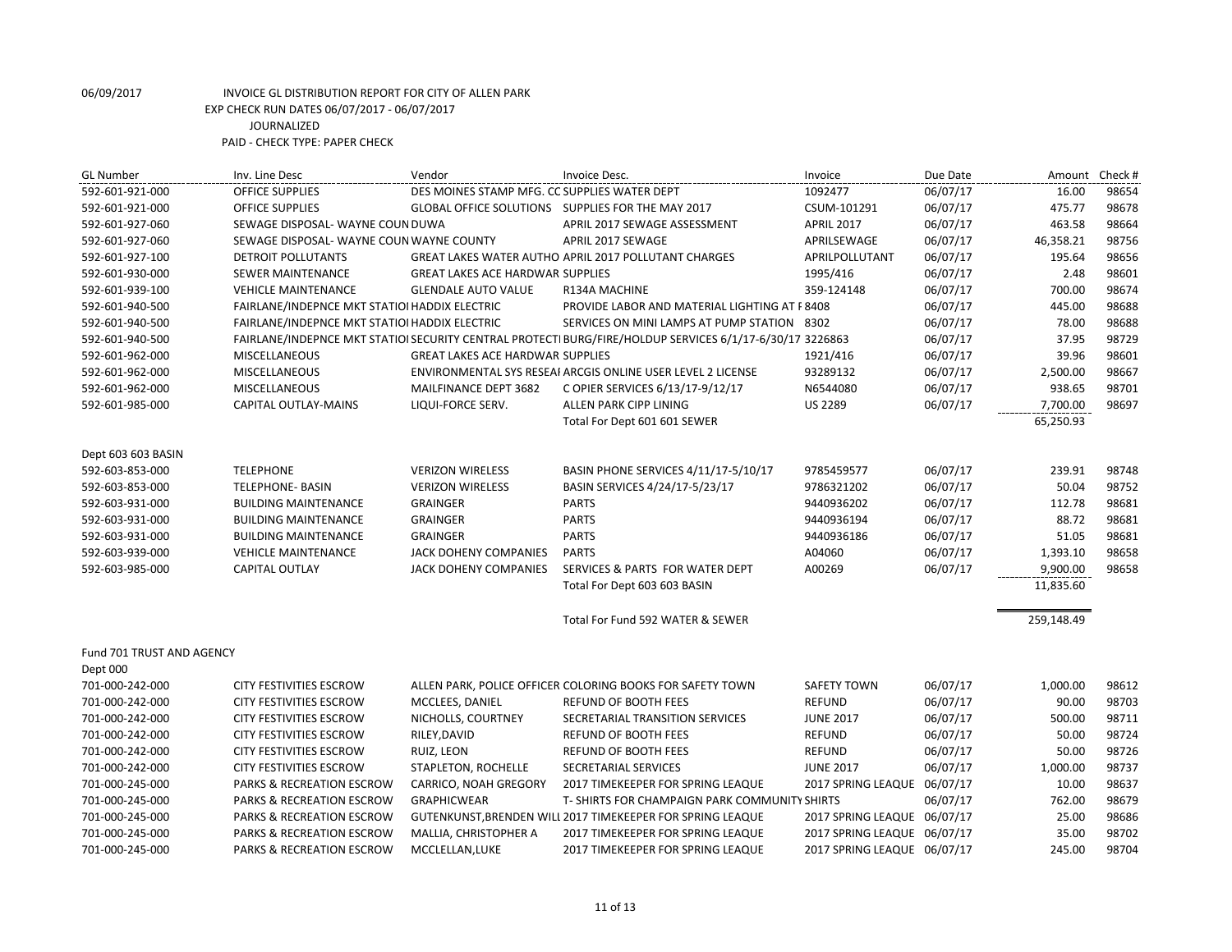| <b>GL Number</b>          | Inv. Line Desc                                       | Vendor                                       | Invoice Desc.                                                                                            | Invoice                     | Due Date | Amount     | Check # |
|---------------------------|------------------------------------------------------|----------------------------------------------|----------------------------------------------------------------------------------------------------------|-----------------------------|----------|------------|---------|
| 592-601-921-000           | <b>OFFICE SUPPLIES</b>                               | DES MOINES STAMP MFG. CC SUPPLIES WATER DEPT |                                                                                                          | 1092477                     | 06/07/17 | 16.00      | 98654   |
| 592-601-921-000           | <b>OFFICE SUPPLIES</b>                               |                                              | GLOBAL OFFICE SOLUTIONS SUPPLIES FOR THE MAY 2017                                                        | CSUM-101291                 | 06/07/17 | 475.77     | 98678   |
| 592-601-927-060           | SEWAGE DISPOSAL- WAYNE COUN DUWA                     |                                              | APRIL 2017 SEWAGE ASSESSMENT                                                                             | <b>APRIL 2017</b>           | 06/07/17 | 463.58     | 98664   |
| 592-601-927-060           | SEWAGE DISPOSAL-WAYNE COUN WAYNE COUNTY              |                                              | APRIL 2017 SEWAGE                                                                                        | APRILSEWAGE                 | 06/07/17 | 46,358.21  | 98756   |
| 592-601-927-100           | DETROIT POLLUTANTS                                   |                                              | GREAT LAKES WATER AUTHO APRIL 2017 POLLUTANT CHARGES                                                     | APRILPOLLUTANT              | 06/07/17 | 195.64     | 98656   |
| 592-601-930-000           | <b>SEWER MAINTENANCE</b>                             | <b>GREAT LAKES ACE HARDWAR SUPPLIES</b>      |                                                                                                          | 1995/416                    | 06/07/17 | 2.48       | 98601   |
| 592-601-939-100           | <b>VEHICLE MAINTENANCE</b>                           | <b>GLENDALE AUTO VALUE</b>                   | R134A MACHINE                                                                                            | 359-124148                  | 06/07/17 | 700.00     | 98674   |
| 592-601-940-500           | <b>FAIRLANE/INDEPNCE MKT STATIOI HADDIX ELECTRIC</b> |                                              | PROVIDE LABOR AND MATERIAL LIGHTING AT F8408                                                             |                             | 06/07/17 | 445.00     | 98688   |
| 592-601-940-500           | FAIRLANE/INDEPNCE MKT STATIOI HADDIX ELECTRIC        |                                              | SERVICES ON MINI LAMPS AT PUMP STATION 8302                                                              |                             | 06/07/17 | 78.00      | 98688   |
| 592-601-940-500           |                                                      |                                              | FAIRLANE/INDEPNCE MKT STATIOI SECURITY CENTRAL PROTECTI BURG/FIRE/HOLDUP SERVICES 6/1/17-6/30/17 3226863 |                             | 06/07/17 | 37.95      | 98729   |
| 592-601-962-000           | MISCELLANEOUS                                        | <b>GREAT LAKES ACE HARDWAR SUPPLIES</b>      |                                                                                                          | 1921/416                    | 06/07/17 | 39.96      | 98601   |
| 592-601-962-000           | <b>MISCELLANEOUS</b>                                 |                                              | ENVIRONMENTAL SYS RESEAI ARCGIS ONLINE USER LEVEL 2 LICENSE                                              | 93289132                    | 06/07/17 | 2,500.00   | 98667   |
| 592-601-962-000           | MISCELLANEOUS                                        | MAILFINANCE DEPT 3682                        | C OPIER SERVICES 6/13/17-9/12/17                                                                         | N6544080                    | 06/07/17 | 938.65     | 98701   |
| 592-601-985-000           | <b>CAPITAL OUTLAY-MAINS</b>                          | LIQUI-FORCE SERV.                            | ALLEN PARK CIPP LINING                                                                                   | <b>US 2289</b>              | 06/07/17 | 7,700.00   | 98697   |
|                           |                                                      |                                              | Total For Dept 601 601 SEWER                                                                             |                             |          | 65,250.93  |         |
|                           |                                                      |                                              |                                                                                                          |                             |          |            |         |
| Dept 603 603 BASIN        |                                                      |                                              |                                                                                                          |                             |          |            |         |
| 592-603-853-000           | <b>TELEPHONE</b>                                     | <b>VERIZON WIRELESS</b>                      | BASIN PHONE SERVICES 4/11/17-5/10/17                                                                     | 9785459577                  | 06/07/17 | 239.91     | 98748   |
| 592-603-853-000           | <b>TELEPHONE- BASIN</b>                              | <b>VERIZON WIRELESS</b>                      | BASIN SERVICES 4/24/17-5/23/17                                                                           | 9786321202                  | 06/07/17 | 50.04      | 98752   |
| 592-603-931-000           | <b>BUILDING MAINTENANCE</b>                          | <b>GRAINGER</b>                              | <b>PARTS</b>                                                                                             | 9440936202                  | 06/07/17 | 112.78     | 98681   |
| 592-603-931-000           | <b>BUILDING MAINTENANCE</b>                          | <b>GRAINGER</b>                              | <b>PARTS</b>                                                                                             | 9440936194                  | 06/07/17 | 88.72      | 98681   |
| 592-603-931-000           | <b>BUILDING MAINTENANCE</b>                          | <b>GRAINGER</b>                              | <b>PARTS</b>                                                                                             | 9440936186                  | 06/07/17 | 51.05      | 98681   |
| 592-603-939-000           | <b>VEHICLE MAINTENANCE</b>                           | <b>JACK DOHENY COMPANIES</b>                 | <b>PARTS</b>                                                                                             | A04060                      | 06/07/17 | 1,393.10   | 98658   |
| 592-603-985-000           | <b>CAPITAL OUTLAY</b>                                | JACK DOHENY COMPANIES                        | SERVICES & PARTS FOR WATER DEPT                                                                          | A00269                      | 06/07/17 | 9,900.00   | 98658   |
|                           |                                                      |                                              | Total For Dept 603 603 BASIN                                                                             |                             |          | 11,835.60  |         |
|                           |                                                      |                                              | Total For Fund 592 WATER & SEWER                                                                         |                             |          | 259,148.49 |         |
| Fund 701 TRUST AND AGENCY |                                                      |                                              |                                                                                                          |                             |          |            |         |
| Dept 000                  |                                                      |                                              |                                                                                                          |                             |          |            |         |
| 701-000-242-000           | CITY FESTIVITIES ESCROW                              |                                              | ALLEN PARK, POLICE OFFICER COLORING BOOKS FOR SAFETY TOWN                                                | <b>SAFETY TOWN</b>          | 06/07/17 | 1,000.00   | 98612   |
| 701-000-242-000           | <b>CITY FESTIVITIES ESCROW</b>                       | MCCLEES, DANIEL                              | REFUND OF BOOTH FEES                                                                                     | <b>REFUND</b>               | 06/07/17 | 90.00      | 98703   |
| 701-000-242-000           | CITY FESTIVITIES ESCROW                              | NICHOLLS, COURTNEY                           | SECRETARIAL TRANSITION SERVICES                                                                          | <b>JUNE 2017</b>            | 06/07/17 | 500.00     | 98711   |
| 701-000-242-000           | <b>CITY FESTIVITIES ESCROW</b>                       | RILEY, DAVID                                 | REFUND OF BOOTH FEES                                                                                     | <b>REFUND</b>               | 06/07/17 | 50.00      | 98724   |
| 701-000-242-000           | <b>CITY FESTIVITIES ESCROW</b>                       | RUIZ, LEON                                   | <b>REFUND OF BOOTH FEES</b>                                                                              | <b>REFUND</b>               | 06/07/17 | 50.00      | 98726   |
| 701-000-242-000           | <b>CITY FESTIVITIES ESCROW</b>                       | STAPLETON, ROCHELLE                          | SECRETARIAL SERVICES                                                                                     | <b>JUNE 2017</b>            | 06/07/17 | 1,000.00   | 98737   |
| 701-000-245-000           | <b>PARKS &amp; RECREATION ESCROW</b>                 | CARRICO, NOAH GREGORY                        | 2017 TIMEKEEPER FOR SPRING LEAQUE                                                                        | 2017 SPRING LEAQUE 06/07/17 |          | 10.00      | 98637   |
| 701-000-245-000           | PARKS & RECREATION ESCROW                            | <b>GRAPHICWEAR</b>                           | T- SHIRTS FOR CHAMPAIGN PARK COMMUNITY SHIRTS                                                            |                             | 06/07/17 | 762.00     | 98679   |
| 701-000-245-000           | PARKS & RECREATION ESCROW                            |                                              | GUTENKUNST, BRENDEN WILL 2017 TIMEKEEPER FOR SPRING LEAQUE                                               | 2017 SPRING LEAQUE 06/07/17 |          | 25.00      | 98686   |
| 701-000-245-000           | PARKS & RECREATION ESCROW                            | MALLIA, CHRISTOPHER A                        | 2017 TIMEKEEPER FOR SPRING LEAQUE                                                                        | 2017 SPRING LEAQUE 06/07/17 |          | 35.00      | 98702   |
| 701-000-245-000           | PARKS & RECREATION ESCROW                            | MCCLELLAN, LUKE                              | 2017 TIMEKEEPER FOR SPRING LEAQUE                                                                        | 2017 SPRING LEAQUE 06/07/17 |          | 245.00     | 98704   |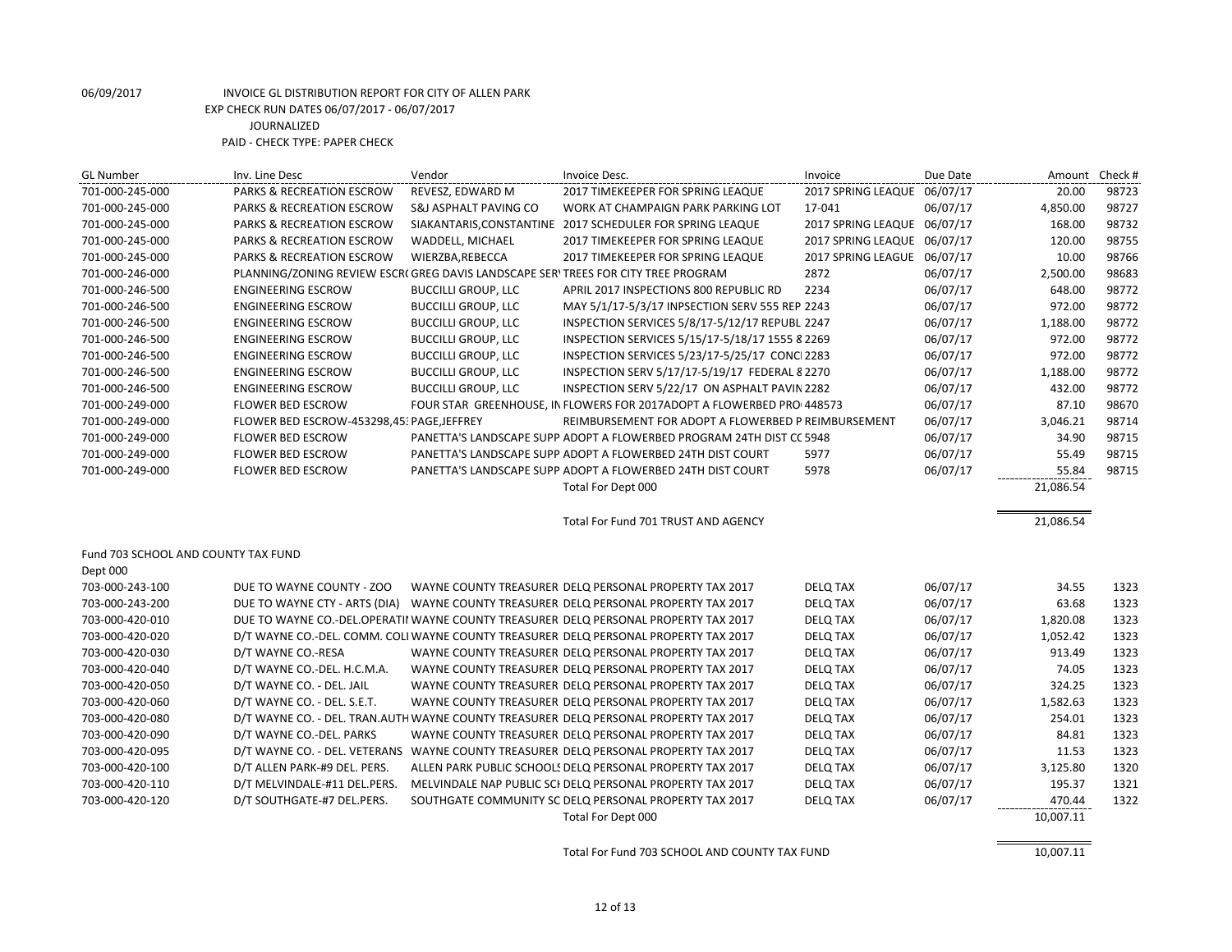| <b>GL Number</b>                    | Inv. Line Desc                             | Vendor                     | Invoice Desc.                                                                         | Invoice                     | Due Date | Amount    | Check # |
|-------------------------------------|--------------------------------------------|----------------------------|---------------------------------------------------------------------------------------|-----------------------------|----------|-----------|---------|
| 701-000-245-000                     | PARKS & RECREATION ESCROW                  | REVESZ, EDWARD M           | 2017 TIMEKEEPER FOR SPRING LEAQUE                                                     | 2017 SPRING LEAQUE          | 06/07/17 | 20.00     | 98723   |
| 701-000-245-000                     | PARKS & RECREATION ESCROW                  | S&J ASPHALT PAVING CO      | WORK AT CHAMPAIGN PARK PARKING LOT                                                    | 17-041                      | 06/07/17 | 4,850.00  | 98727   |
| 701-000-245-000                     | PARKS & RECREATION ESCROW                  |                            | SIAKANTARIS, CONSTANTINE 2017 SCHEDULER FOR SPRING LEAQUE                             | 2017 SPRING LEAQUE 06/07/17 |          | 168.00    | 98732   |
| 701-000-245-000                     | <b>PARKS &amp; RECREATION ESCROW</b>       | WADDELL, MICHAEL           | 2017 TIMEKEEPER FOR SPRING LEAQUE                                                     | 2017 SPRING LEAQUE 06/07/17 |          | 120.00    | 98755   |
| 701-000-245-000                     | PARKS & RECREATION ESCROW                  | WIERZBA, REBECCA           | 2017 TIMEKEEPER FOR SPRING LEAQUE                                                     | 2017 SPRING LEAGUE 06/07/17 |          | 10.00     | 98766   |
| 701-000-246-000                     |                                            |                            | PLANNING/ZONING REVIEW ESCR(GREG DAVIS LANDSCAPE SER' TREES FOR CITY TREE PROGRAM     | 2872                        | 06/07/17 | 2,500.00  | 98683   |
| 701-000-246-500                     | <b>ENGINEERING ESCROW</b>                  | <b>BUCCILLI GROUP, LLC</b> | APRIL 2017 INSPECTIONS 800 REPUBLIC RD                                                | 2234                        | 06/07/17 | 648.00    | 98772   |
| 701-000-246-500                     | <b>ENGINEERING ESCROW</b>                  | <b>BUCCILLI GROUP, LLC</b> | MAY 5/1/17-5/3/17 INPSECTION SERV 555 REP 2243                                        |                             | 06/07/17 | 972.00    | 98772   |
| 701-000-246-500                     | <b>ENGINEERING ESCROW</b>                  | <b>BUCCILLI GROUP, LLC</b> | INSPECTION SERVICES 5/8/17-5/12/17 REPUBL 2247                                        |                             | 06/07/17 | 1,188.00  | 98772   |
| 701-000-246-500                     | <b>ENGINEERING ESCROW</b>                  | <b>BUCCILLI GROUP, LLC</b> | INSPECTION SERVICES 5/15/17-5/18/17 1555 8 2269                                       |                             | 06/07/17 | 972.00    | 98772   |
| 701-000-246-500                     | <b>ENGINEERING ESCROW</b>                  | <b>BUCCILLI GROUP, LLC</b> | INSPECTION SERVICES 5/23/17-5/25/17 CONCI 2283                                        |                             | 06/07/17 | 972.00    | 98772   |
| 701-000-246-500                     | <b>ENGINEERING ESCROW</b>                  | <b>BUCCILLI GROUP, LLC</b> | INSPECTION SERV 5/17/17-5/19/17 FEDERAL 8 2270                                        |                             | 06/07/17 | 1,188.00  | 98772   |
| 701-000-246-500                     | <b>ENGINEERING ESCROW</b>                  | <b>BUCCILLI GROUP, LLC</b> | INSPECTION SERV 5/22/17 ON ASPHALT PAVIN 2282                                         |                             | 06/07/17 | 432.00    | 98772   |
| 701-000-249-000                     | <b>FLOWER BED ESCROW</b>                   |                            | FOUR STAR GREENHOUSE, IN FLOWERS FOR 2017ADOPT A FLOWERBED PRO 448573                 |                             | 06/07/17 | 87.10     | 98670   |
| 701-000-249-000                     | FLOWER BED ESCROW-453298,45: PAGE, JEFFREY |                            | REIMBURSEMENT FOR ADOPT A FLOWERBED P REIMBURSEMENT                                   |                             | 06/07/17 | 3,046.21  | 98714   |
| 701-000-249-000                     | <b>FLOWER BED ESCROW</b>                   |                            | PANETTA'S LANDSCAPE SUPP ADOPT A FLOWERBED PROGRAM 24TH DIST CC 5948                  |                             | 06/07/17 | 34.90     | 98715   |
| 701-000-249-000                     | <b>FLOWER BED ESCROW</b>                   |                            | PANETTA'S LANDSCAPE SUPP ADOPT A FLOWERBED 24TH DIST COURT                            | 5977                        | 06/07/17 | 55.49     | 98715   |
| 701-000-249-000                     | <b>FLOWER BED ESCROW</b>                   |                            | PANETTA'S LANDSCAPE SUPP ADOPT A FLOWERBED 24TH DIST COURT                            | 5978                        | 06/07/17 | 55.84     | 98715   |
|                                     |                                            |                            | Total For Dept 000                                                                    |                             |          | 21,086.54 |         |
|                                     |                                            |                            | Total For Fund 701 TRUST AND AGENCY                                                   |                             |          | 21,086.54 |         |
| Fund 703 SCHOOL AND COUNTY TAX FUND |                                            |                            |                                                                                       |                             |          |           |         |
| Dept 000                            |                                            |                            |                                                                                       |                             |          |           |         |
| 703-000-243-100                     | DUE TO WAYNE COUNTY - ZOO                  |                            | WAYNE COUNTY TREASURER DELQ PERSONAL PROPERTY TAX 2017                                | <b>DELQ TAX</b>             | 06/07/17 | 34.55     | 1323    |
| 703-000-243-200                     |                                            |                            | DUE TO WAYNE CTY - ARTS (DIA) WAYNE COUNTY TREASURER DELQ PERSONAL PROPERTY TAX 2017  | <b>DELQ TAX</b>             | 06/07/17 | 63.68     | 1323    |
| 703-000-420-010                     |                                            |                            | DUE TO WAYNE CO.-DEL.OPERATII WAYNE COUNTY TREASURER DELQ PERSONAL PROPERTY TAX 2017  | <b>DELQ TAX</b>             | 06/07/17 | 1,820.08  | 1323    |
| 703-000-420-020                     |                                            |                            | D/T WAYNE CO.-DEL. COMM. COLI WAYNE COUNTY TREASURER DELQ PERSONAL PROPERTY TAX 2017  | <b>DELQ TAX</b>             | 06/07/17 | 1,052.42  | 1323    |
| 703-000-420-030                     | D/T WAYNE CO.-RESA                         |                            | WAYNE COUNTY TREASURER DELO PERSONAL PROPERTY TAX 2017                                | <b>DELQ TAX</b>             | 06/07/17 | 913.49    | 1323    |
| 703-000-420-040                     | D/T WAYNE CO.-DEL. H.C.M.A.                |                            | WAYNE COUNTY TREASURER DELQ PERSONAL PROPERTY TAX 2017                                | <b>DELQ TAX</b>             | 06/07/17 | 74.05     | 1323    |
| 703-000-420-050                     | D/T WAYNE CO. - DEL. JAIL                  |                            | WAYNE COUNTY TREASURER DELQ PERSONAL PROPERTY TAX 2017                                | <b>DELQ TAX</b>             | 06/07/17 | 324.25    | 1323    |
| 703-000-420-060                     | D/T WAYNE CO. - DEL. S.E.T.                |                            | WAYNE COUNTY TREASURER DELQ PERSONAL PROPERTY TAX 2017                                | <b>DELQ TAX</b>             | 06/07/17 | 1,582.63  | 1323    |
| 703-000-420-080                     |                                            |                            | D/T WAYNE CO. - DEL. TRAN.AUTH WAYNE COUNTY TREASURER DELQ PERSONAL PROPERTY TAX 2017 | <b>DELQ TAX</b>             | 06/07/17 | 254.01    | 1323    |
| 703-000-420-090                     | D/T WAYNE CO.-DEL. PARKS                   |                            | WAYNE COUNTY TREASURER DELQ PERSONAL PROPERTY TAX 2017                                | <b>DELQ TAX</b>             | 06/07/17 | 84.81     | 1323    |
| 703-000-420-095                     |                                            |                            | D/T WAYNE CO. - DEL. VETERANS WAYNE COUNTY TREASURER DELQ PERSONAL PROPERTY TAX 2017  | DELQ TAX                    | 06/07/17 | 11.53     | 1323    |
| 703-000-420-100                     | D/T ALLEN PARK-#9 DEL. PERS.               |                            | ALLEN PARK PUBLIC SCHOOLS DELQ PERSONAL PROPERTY TAX 2017                             | <b>DELQ TAX</b>             | 06/07/17 | 3,125.80  | 1320    |
| 703-000-420-110                     | D/T MELVINDALE-#11 DEL.PERS.               |                            | MELVINDALE NAP PUBLIC SCI DELQ PERSONAL PROPERTY TAX 2017                             | <b>DELQ TAX</b>             | 06/07/17 | 195.37    | 1321    |
| 703-000-420-120                     | D/T SOUTHGATE-#7 DEL.PERS.                 |                            | SOUTHGATE COMMUNITY SC DELQ PERSONAL PROPERTY TAX 2017                                | <b>DELQ TAX</b>             | 06/07/17 | 470.44    | 1322    |
|                                     |                                            |                            | Total For Dept 000                                                                    |                             |          | 10,007.11 |         |

Total For Fund 703 SCHOOL AND COUNTY TAX FUND 10,007.11